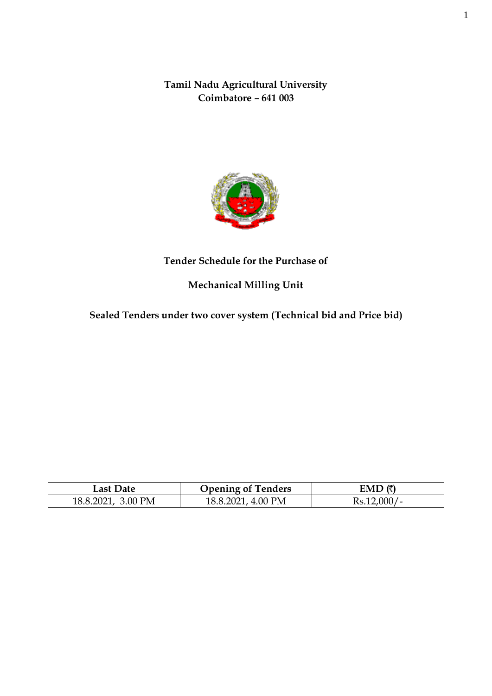**Tamil Nadu Agricultural University Coimbatore – 641 003**



## **Tender Schedule for the Purchase of**

# **Mechanical Milling Unit**

**Sealed Tenders under two cover system (Technical bid and Price bid)**

| Last Date          | <b>Opening of Tenders</b> | FMD (き           |
|--------------------|---------------------------|------------------|
| 18.8.2021. 3.00 PM | 18.8.2021, 4.00 PM        | $000 =$<br>Rs.1. |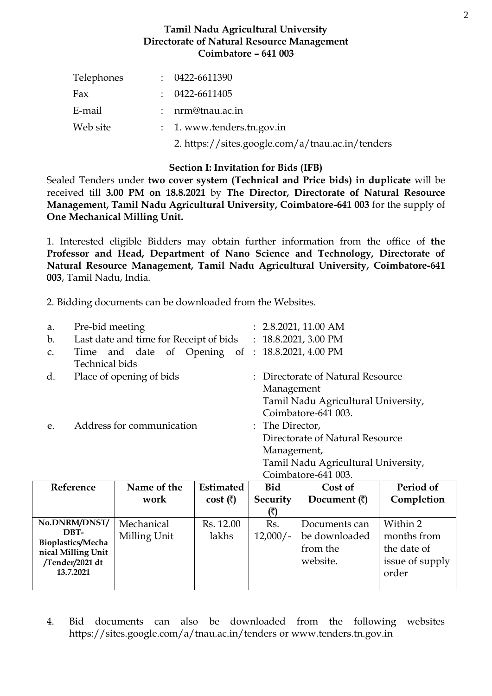#### **Tamil Nadu Agricultural University Directorate of Natural Resource Management Coimbatore – 641 003**

| Telephones | $: 0422 - 6611390$                               |
|------------|--------------------------------------------------|
| Fax        | $: 0422 - 6611405$                               |
| E-mail     | $:$ nrm@tnau.ac.in                               |
| Web site   | $: 1.$ www.tenders.tn.gov.in                     |
|            | 2. https://sites.google.com/a/tnau.ac.in/tenders |

#### **Section I: Invitation for Bids (IFB)**

Sealed Tenders under **two cover system (Technical and Price bids) in duplicate** will be received till **3.00 PM on 18.8.2021** by **The Director, Directorate of Natural Resource Management, Tamil Nadu Agricultural University, Coimbatore-641 003** for the supply of **One Mechanical Milling Unit.**

1. Interested eligible Bidders may obtain further information from the office of **the Professor and Head, Department of Nano Science and Technology, Directorate of Natural Resource Management, Tamil Nadu Agricultural University, Coimbatore-641 003**, Tamil Nadu, India.

2. Bidding documents can be downloaded from the Websites.

| a.             | Pre-bid meeting                                             | : 2.8.2021, 11.00 AM |                                     |  |  |
|----------------|-------------------------------------------------------------|----------------------|-------------------------------------|--|--|
| b.             | Last date and time for Receipt of bids : 18.8.2021, 3.00 PM |                      |                                     |  |  |
| $\mathsf{C}$ . | Time and date of Opening of : 18.8.2021, 4.00 PM            |                      |                                     |  |  |
|                | Technical bids                                              |                      |                                     |  |  |
| d.             | Place of opening of bids                                    |                      | : Directorate of Natural Resource   |  |  |
|                |                                                             |                      | Management                          |  |  |
|                |                                                             |                      | Tamil Nadu Agricultural University, |  |  |
|                |                                                             |                      | Coimbatore-641 003.                 |  |  |
| e.             | Address for communication                                   |                      | : The Director,                     |  |  |
|                |                                                             |                      | Directorate of Natural Resource     |  |  |
|                |                                                             |                      | Management,                         |  |  |
|                |                                                             |                      | Tamil Nadu Agricultural University, |  |  |
|                |                                                             |                      | Coimbatore-641 003.                 |  |  |

| Reference                 | Name of the  |                  | <b>Bid</b> | Cost of              | Period of       |  |
|---------------------------|--------------|------------------|------------|----------------------|-----------------|--|
|                           | work         | cost $(\bar{x})$ | Security   | Document $(\bar{z})$ | Completion      |  |
|                           |              |                  |            |                      |                 |  |
| No.DNRM/DNST/             | Mechanical   | Rs. 12.00        | Rs.        | Documents can        | Within 2        |  |
| DBT-<br>Bioplastics/Mecha | Milling Unit | lakhs            | $12,000/-$ | be downloaded        | months from     |  |
| nical Milling Unit        |              |                  |            | from the             | the date of     |  |
| /Tender/2021 dt           |              |                  |            | website.             | issue of supply |  |
| 13.7.2021                 |              |                  |            |                      | order           |  |
|                           |              |                  |            |                      |                 |  |

4. Bid documents can also be downloaded from the following websites <https://sites.google.com/a/tnau.ac.in/tenders> or [www.tenders.tn.gov.in](http://www.tenders.tn.gov.in/)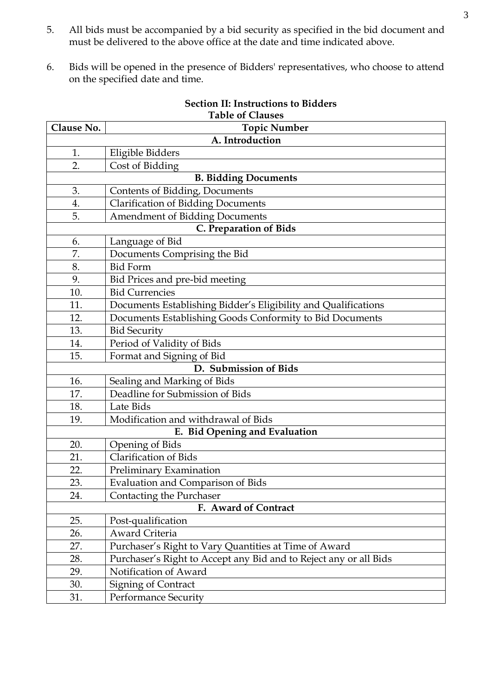- 5. All bids must be accompanied by a bid security as specified in the bid document and must be delivered to the above office at the date and time indicated above.
- 6. Bids will be opened in the presence of Bidders' representatives, who choose to attend on the specified date and time.

|                 | Table of Clauses                                                  |  |  |  |  |  |  |  |
|-----------------|-------------------------------------------------------------------|--|--|--|--|--|--|--|
| Clause No.      | <b>Topic Number</b>                                               |  |  |  |  |  |  |  |
| A. Introduction |                                                                   |  |  |  |  |  |  |  |
| 1.              | Eligible Bidders                                                  |  |  |  |  |  |  |  |
| 2.              | Cost of Bidding                                                   |  |  |  |  |  |  |  |
|                 | <b>B. Bidding Documents</b>                                       |  |  |  |  |  |  |  |
| 3.              | Contents of Bidding, Documents                                    |  |  |  |  |  |  |  |
| 4.              | <b>Clarification of Bidding Documents</b>                         |  |  |  |  |  |  |  |
| 5.              | Amendment of Bidding Documents                                    |  |  |  |  |  |  |  |
|                 | <b>C. Preparation of Bids</b>                                     |  |  |  |  |  |  |  |
| 6.              | Language of Bid                                                   |  |  |  |  |  |  |  |
| 7.              | Documents Comprising the Bid                                      |  |  |  |  |  |  |  |
| 8.              | <b>Bid Form</b>                                                   |  |  |  |  |  |  |  |
| 9.              | Bid Prices and pre-bid meeting                                    |  |  |  |  |  |  |  |
| 10.             | <b>Bid Currencies</b>                                             |  |  |  |  |  |  |  |
| 11.             | Documents Establishing Bidder's Eligibility and Qualifications    |  |  |  |  |  |  |  |
| 12.             | Documents Establishing Goods Conformity to Bid Documents          |  |  |  |  |  |  |  |
| 13.             | <b>Bid Security</b>                                               |  |  |  |  |  |  |  |
| 14.             | Period of Validity of Bids                                        |  |  |  |  |  |  |  |
| 15.             | Format and Signing of Bid                                         |  |  |  |  |  |  |  |
|                 | D. Submission of Bids                                             |  |  |  |  |  |  |  |
| 16.             | Sealing and Marking of Bids                                       |  |  |  |  |  |  |  |
| 17.             | Deadline for Submission of Bids                                   |  |  |  |  |  |  |  |
| 18.             | Late Bids                                                         |  |  |  |  |  |  |  |
| 19.             | Modification and withdrawal of Bids                               |  |  |  |  |  |  |  |
|                 | E. Bid Opening and Evaluation                                     |  |  |  |  |  |  |  |
| 20.             | <b>Opening of Bids</b>                                            |  |  |  |  |  |  |  |
| 21.             | <b>Clarification of Bids</b>                                      |  |  |  |  |  |  |  |
| 22.             | Preliminary Examination                                           |  |  |  |  |  |  |  |
| 23.             | <b>Evaluation and Comparison of Bids</b>                          |  |  |  |  |  |  |  |
| 24.             | Contacting the Purchaser                                          |  |  |  |  |  |  |  |
|                 | F. Award of Contract                                              |  |  |  |  |  |  |  |
| 25.             | Post-qualification                                                |  |  |  |  |  |  |  |
| 26.             | Award Criteria                                                    |  |  |  |  |  |  |  |
| 27.             | Purchaser's Right to Vary Quantities at Time of Award             |  |  |  |  |  |  |  |
| 28.             | Purchaser's Right to Accept any Bid and to Reject any or all Bids |  |  |  |  |  |  |  |
| 29.             | Notification of Award                                             |  |  |  |  |  |  |  |
| 30.             | Signing of Contract                                               |  |  |  |  |  |  |  |
| 31.             | <b>Performance Security</b>                                       |  |  |  |  |  |  |  |

#### **Section II: Instructions to Bidders Table of Clauses**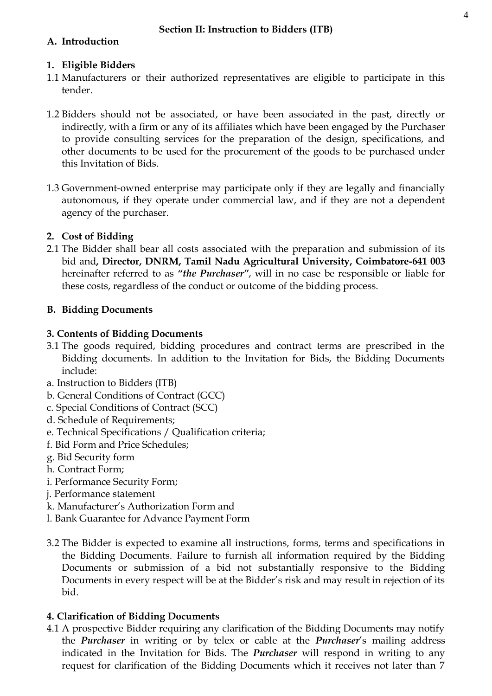# **A. Introduction**

### **1. Eligible Bidders**

- 1.1 Manufacturers or their authorized representatives are eligible to participate in this tender.
- 1.2 Bidders should not be associated, or have been associated in the past, directly or indirectly, with a firm or any of its affiliates which have been engaged by the Purchaser to provide consulting services for the preparation of the design, specifications, and other documents to be used for the procurement of the goods to be purchased under this Invitation of Bids.
- 1.3 Government-owned enterprise may participate only if they are legally and financially autonomous, if they operate under commercial law, and if they are not a dependent agency of the purchaser.

# **2. Cost of Bidding**

2.1 The Bidder shall bear all costs associated with the preparation and submission of its bid and**, Director, DNRM, Tamil Nadu Agricultural University, Coimbatore-641 003** hereinafter referred to as *"the Purchaser"*, will in no case be responsible or liable for these costs, regardless of the conduct or outcome of the bidding process.

## **B. Bidding Documents**

## **3. Contents of Bidding Documents**

- 3.1 The goods required, bidding procedures and contract terms are prescribed in the Bidding documents. In addition to the Invitation for Bids, the Bidding Documents include:
- a. Instruction to Bidders (ITB)
- b. General Conditions of Contract (GCC)
- c. Special Conditions of Contract (SCC)
- d. Schedule of Requirements;
- e. Technical Specifications / Qualification criteria;
- f. Bid Form and Price Schedules;
- g. Bid Security form
- h. Contract Form;
- i. Performance Security Form;
- j. Performance statement
- k. Manufacturer's Authorization Form and
- l. Bank Guarantee for Advance Payment Form
- 3.2 The Bidder is expected to examine all instructions, forms, terms and specifications in the Bidding Documents. Failure to furnish all information required by the Bidding Documents or submission of a bid not substantially responsive to the Bidding Documents in every respect will be at the Bidder's risk and may result in rejection of its bid.

# **4. Clarification of Bidding Documents**

4.1 A prospective Bidder requiring any clarification of the Bidding Documents may notify the *Purchaser* in writing or by telex or cable at the *Purchaser*'s mailing address indicated in the Invitation for Bids. The *Purchaser* will respond in writing to any request for clarification of the Bidding Documents which it receives not later than 7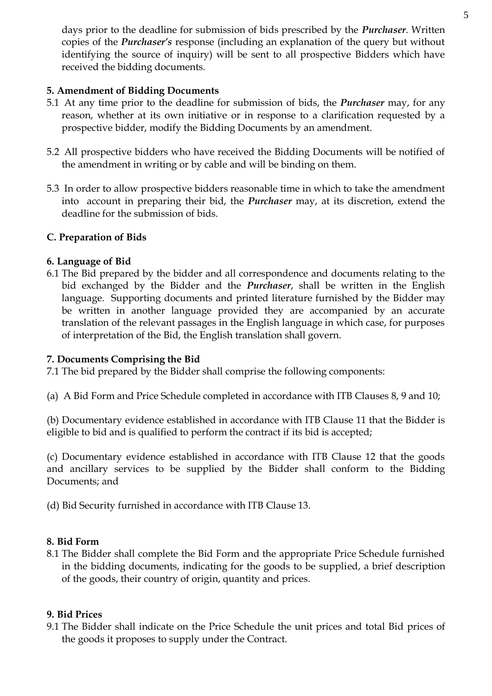days prior to the deadline for submission of bids prescribed by the *Purchaser*. Written copies of the *Purchaser's* response (including an explanation of the query but without identifying the source of inquiry) will be sent to all prospective Bidders which have received the bidding documents.

# **5. Amendment of Bidding Documents**

- 5.1 At any time prior to the deadline for submission of bids, the *Purchaser* may, for any reason, whether at its own initiative or in response to a clarification requested by a prospective bidder, modify the Bidding Documents by an amendment.
- 5.2 All prospective bidders who have received the Bidding Documents will be notified of the amendment in writing or by cable and will be binding on them.
- 5.3 In order to allow prospective bidders reasonable time in which to take the amendment into account in preparing their bid, the *Purchaser* may, at its discretion, extend the deadline for the submission of bids.

#### **C. Preparation of Bids**

#### **6. Language of Bid**

6.1 The Bid prepared by the bidder and all correspondence and documents relating to the bid exchanged by the Bidder and the *Purchaser*, shall be written in the English language. Supporting documents and printed literature furnished by the Bidder may be written in another language provided they are accompanied by an accurate translation of the relevant passages in the English language in which case, for purposes of interpretation of the Bid, the English translation shall govern.

#### **7. Documents Comprising the Bid**

7.1 The bid prepared by the Bidder shall comprise the following components:

(a) A Bid Form and Price Schedule completed in accordance with ITB Clauses 8, 9 and 10;

(b) Documentary evidence established in accordance with ITB Clause 11 that the Bidder is eligible to bid and is qualified to perform the contract if its bid is accepted;

(c) Documentary evidence established in accordance with ITB Clause 12 that the goods and ancillary services to be supplied by the Bidder shall conform to the Bidding Documents; and

(d) Bid Security furnished in accordance with ITB Clause 13.

#### **8. Bid Form**

8.1 The Bidder shall complete the Bid Form and the appropriate Price Schedule furnished in the bidding documents, indicating for the goods to be supplied, a brief description of the goods, their country of origin, quantity and prices.

# **9. Bid Prices**

9.1 The Bidder shall indicate on the Price Schedule the unit prices and total Bid prices of the goods it proposes to supply under the Contract.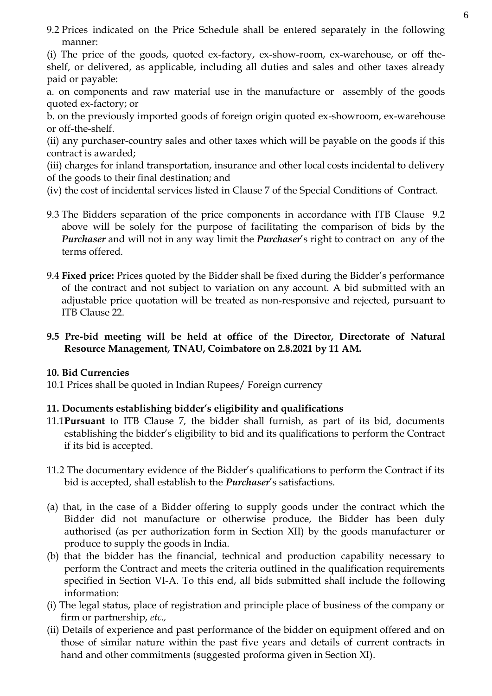9.2 Prices indicated on the Price Schedule shall be entered separately in the following manner:

(i) The price of the goods, quoted ex-factory, ex-show-room, ex-warehouse, or off theshelf, or delivered, as applicable, including all duties and sales and other taxes already paid or payable:

- a. on components and raw material use in the manufacture or assembly of the goods quoted ex-factory; or
- b. on the previously imported goods of foreign origin quoted ex-showroom, ex-warehouse or off-the-shelf.
- (ii) any purchaser-country sales and other taxes which will be payable on the goods if this contract is awarded;
- (iii) charges for inland transportation, insurance and other local costs incidental to delivery of the goods to their final destination; and
- (iv) the cost of incidental services listed in Clause 7 of the Special Conditions of Contract.
- 9.3 The Bidders separation of the price components in accordance with ITB Clause 9.2 above will be solely for the purpose of facilitating the comparison of bids by the *Purchaser* and will not in any way limit the *Purchaser*'s right to contract on any of the terms offered.
- 9.4 **Fixed price:** Prices quoted by the Bidder shall be fixed during the Bidder's performance of the contract and not subject to variation on any account. A bid submitted with an adjustable price quotation will be treated as non-responsive and rejected, pursuant to ITB Clause 22.

#### **9.5 Pre-bid meeting will be held at office of the Director, Directorate of Natural Resource Management, TNAU, Coimbatore on 2.8.2021 by 11 AM.**

#### **10. Bid Currencies**

10.1 Prices shall be quoted in Indian Rupees/ Foreign currency

#### **11. Documents establishing bidder's eligibility and qualifications**

- 11.1**Pursuant** to ITB Clause 7, the bidder shall furnish, as part of its bid, documents establishing the bidder's eligibility to bid and its qualifications to perform the Contract if its bid is accepted.
- 11.2 The documentary evidence of the Bidder's qualifications to perform the Contract if its bid is accepted, shall establish to the *Purchaser*'s satisfactions.
- (a) that, in the case of a Bidder offering to supply goods under the contract which the Bidder did not manufacture or otherwise produce, the Bidder has been duly authorised (as per authorization form in Section XII) by the goods manufacturer or produce to supply the goods in India.
- (b) that the bidder has the financial, technical and production capability necessary to perform the Contract and meets the criteria outlined in the qualification requirements specified in Section VI-A. To this end, all bids submitted shall include the following information:
- (i) The legal status, place of registration and principle place of business of the company or firm or partnership, *etc.,*
- (ii) Details of experience and past performance of the bidder on equipment offered and on those of similar nature within the past five years and details of current contracts in hand and other commitments (suggested proforma given in Section XI).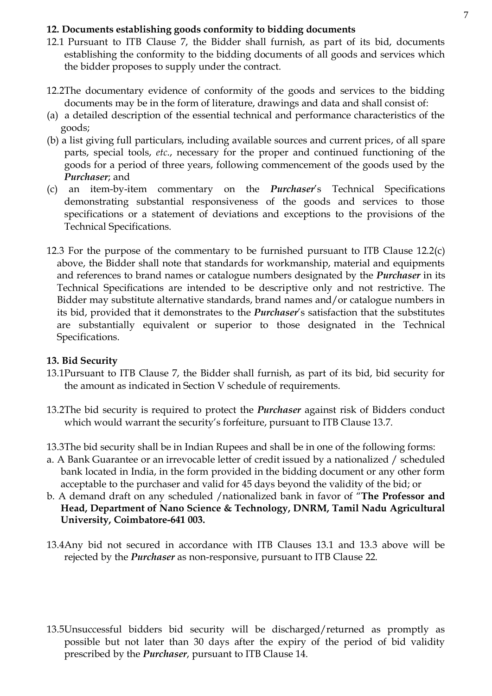#### **12. Documents establishing goods conformity to bidding documents**

- 12.1 Pursuant to ITB Clause 7, the Bidder shall furnish, as part of its bid, documents establishing the conformity to the bidding documents of all goods and services which the bidder proposes to supply under the contract.
- 12.2The documentary evidence of conformity of the goods and services to the bidding documents may be in the form of literature, drawings and data and shall consist of:
- (a) a detailed description of the essential technical and performance characteristics of the goods;
- (b) a list giving full particulars, including available sources and current prices, of all spare parts, special tools, *etc*., necessary for the proper and continued functioning of the goods for a period of three years, following commencement of the goods used by the *Purchaser*; and
- (c) an item-by-item commentary on the *Purchaser*'s Technical Specifications demonstrating substantial responsiveness of the goods and services to those specifications or a statement of deviations and exceptions to the provisions of the Technical Specifications.
- 12.3 For the purpose of the commentary to be furnished pursuant to ITB Clause 12.2(c) above, the Bidder shall note that standards for workmanship, material and equipments and references to brand names or catalogue numbers designated by the *Purchaser* in its Technical Specifications are intended to be descriptive only and not restrictive. The Bidder may substitute alternative standards, brand names and/or catalogue numbers in its bid, provided that it demonstrates to the *Purchaser*'s satisfaction that the substitutes are substantially equivalent or superior to those designated in the Technical Specifications.

#### **13. Bid Security**

- 13.1Pursuant to ITB Clause 7, the Bidder shall furnish, as part of its bid, bid security for the amount as indicated in Section V schedule of requirements.
- 13.2The bid security is required to protect the *Purchaser* against risk of Bidders conduct which would warrant the security's forfeiture, pursuant to ITB Clause 13.7.
- 13.3The bid security shall be in Indian Rupees and shall be in one of the following forms:
- a. A Bank Guarantee or an irrevocable letter of credit issued by a nationalized / scheduled bank located in India, in the form provided in the bidding document or any other form acceptable to the purchaser and valid for 45 days beyond the validity of the bid; or
- b. A demand draft on any scheduled /nationalized bank in favor of "**The Professor and Head, Department of Nano Science & Technology, DNRM, Tamil Nadu Agricultural University, Coimbatore-641 003.**
- 13.4Any bid not secured in accordance with ITB Clauses 13.1 and 13.3 above will be rejected by the *Purchaser* as non-responsive, pursuant to ITB Clause 22.
- 13.5Unsuccessful bidders bid security will be discharged/returned as promptly as possible but not later than 30 days after the expiry of the period of bid validity prescribed by the *Purchaser*, pursuant to ITB Clause 14.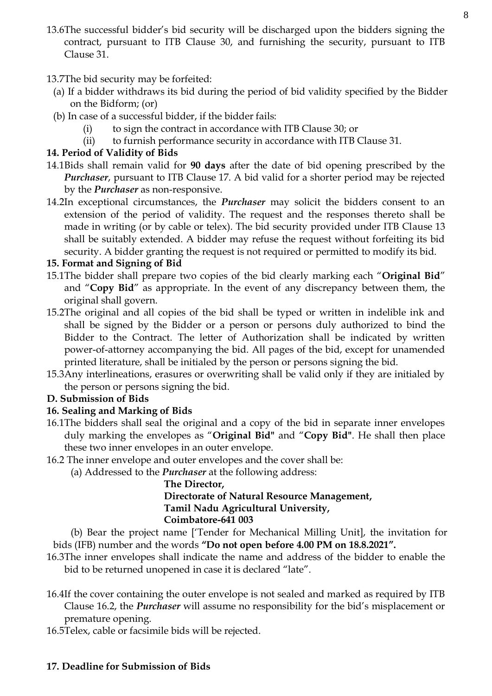- 13.6The successful bidder's bid security will be discharged upon the bidders signing the contract, pursuant to ITB Clause 30, and furnishing the security, pursuant to ITB Clause 31.
- 13.7The bid security may be forfeited:
	- (a) If a bidder withdraws its bid during the period of bid validity specified by the Bidder on the Bidform; (or)
	- (b) In case of a successful bidder, if the bidder fails:
		- (i) to sign the contract in accordance with ITB Clause 30; or
		- (ii) to furnish performance security in accordance with ITB Clause 31.

# **14. Period of Validity of Bids**

- 14.1Bids shall remain valid for **90 days** after the date of bid opening prescribed by the *Purchaser*, pursuant to ITB Clause 17. A bid valid for a shorter period may be rejected by the *Purchaser* as non-responsive.
- 14.2In exceptional circumstances, the *Purchaser* may solicit the bidders consent to an extension of the period of validity. The request and the responses thereto shall be made in writing (or by cable or telex). The bid security provided under ITB Clause 13 shall be suitably extended. A bidder may refuse the request without forfeiting its bid security. A bidder granting the request is not required or permitted to modify its bid.

# **15. Format and Signing of Bid**

- 15.1The bidder shall prepare two copies of the bid clearly marking each "**Original Bid**" and "**Copy Bid**" as appropriate. In the event of any discrepancy between them, the original shall govern.
- 15.2The original and all copies of the bid shall be typed or written in indelible ink and shall be signed by the Bidder or a person or persons duly authorized to bind the Bidder to the Contract. The letter of Authorization shall be indicated by written power-of-attorney accompanying the bid. All pages of the bid, except for unamended printed literature, shall be initialed by the person or persons signing the bid.
- 15.3Any interlineations, erasures or overwriting shall be valid only if they are initialed by the person or persons signing the bid.

# **D. Submission of Bids**

# **16. Sealing and Marking of Bids**

- 16.1The bidders shall seal the original and a copy of the bid in separate inner envelopes duly marking the envelopes as "**Original Bid"** and "**Copy Bid"**. He shall then place these two inner envelopes in an outer envelope.
- 16.2 The inner envelope and outer envelopes and the cover shall be:
	- (a) Addressed to the *Purchaser* at the following address:

#### **The Director, Directorate of Natural Resource Management, Tamil Nadu Agricultural University, Coimbatore-641 003**

 (b) Bear the project name ['Tender for Mechanical Milling Unit], the invitation for bids (IFB) number and the words **"Do not open before 4.00 PM on 18.8.2021".**

- 16.3The inner envelopes shall indicate the name and address of the bidder to enable the bid to be returned unopened in case it is declared "late".
- 16.4If the cover containing the outer envelope is not sealed and marked as required by ITB Clause 16.2, the *Purchaser* will assume no responsibility for the bid's misplacement or premature opening.
- 16.5Telex, cable or facsimile bids will be rejected.

# **17. Deadline for Submission of Bids**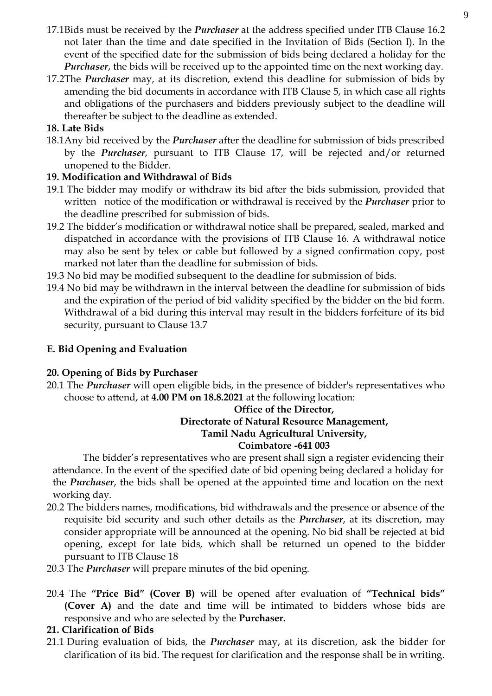- 17.1Bids must be received by the *Purchaser* at the address specified under ITB Clause 16.2 not later than the time and date specified in the Invitation of Bids (Section I). In the event of the specified date for the submission of bids being declared a holiday for the *Purchaser*, the bids will be received up to the appointed time on the next working day.
- 17.2The *Purchaser* may, at its discretion, extend this deadline for submission of bids by amending the bid documents in accordance with ITB Clause 5, in which case all rights and obligations of the purchasers and bidders previously subject to the deadline will thereafter be subject to the deadline as extended.

# **18. Late Bids**

18.1Any bid received by the *Purchaser* after the deadline for submission of bids prescribed by the *Purchaser*, pursuant to ITB Clause 17, will be rejected and/or returned unopened to the Bidder.

# **19. Modification and Withdrawal of Bids**

- 19.1 The bidder may modify or withdraw its bid after the bids submission, provided that written notice of the modification or withdrawal is received by the *Purchaser* prior to the deadline prescribed for submission of bids.
- 19.2 The bidder's modification or withdrawal notice shall be prepared, sealed, marked and dispatched in accordance with the provisions of ITB Clause 16. A withdrawal notice may also be sent by telex or cable but followed by a signed confirmation copy, post marked not later than the deadline for submission of bids.
- 19.3 No bid may be modified subsequent to the deadline for submission of bids.
- 19.4 No bid may be withdrawn in the interval between the deadline for submission of bids and the expiration of the period of bid validity specified by the bidder on the bid form. Withdrawal of a bid during this interval may result in the bidders forfeiture of its bid security, pursuant to Clause 13.7

### **E. Bid Opening and Evaluation**

#### **20. Opening of Bids by Purchaser**

20.1 The *Purchaser* will open eligible bids, in the presence of bidder's representatives who choose to attend, at **4.00 PM on 18.8.2021** at the following location:

#### **Office of the Director, Directorate of Natural Resource Management, Tamil Nadu Agricultural University, Coimbatore -641 003**

The bidder's representatives who are present shall sign a register evidencing their attendance. In the event of the specified date of bid opening being declared a holiday for the *Purchaser*, the bids shall be opened at the appointed time and location on the next working day.

- 20.2 The bidders names, modifications, bid withdrawals and the presence or absence of the requisite bid security and such other details as the *Purchaser*, at its discretion, may consider appropriate will be announced at the opening. No bid shall be rejected at bid opening, except for late bids, which shall be returned un opened to the bidder pursuant to ITB Clause 18
- 20.3 The *Purchaser* will prepare minutes of the bid opening.
- 20.4 The **"Price Bid" (Cover B)** will be opened after evaluation of **"Technical bids" (Cover A)** and the date and time will be intimated to bidders whose bids are responsive and who are selected by the **Purchaser.**

#### **21. Clarification of Bids**

21.1 During evaluation of bids, the *Purchaser* may, at its discretion, ask the bidder for clarification of its bid. The request for clarification and the response shall be in writing.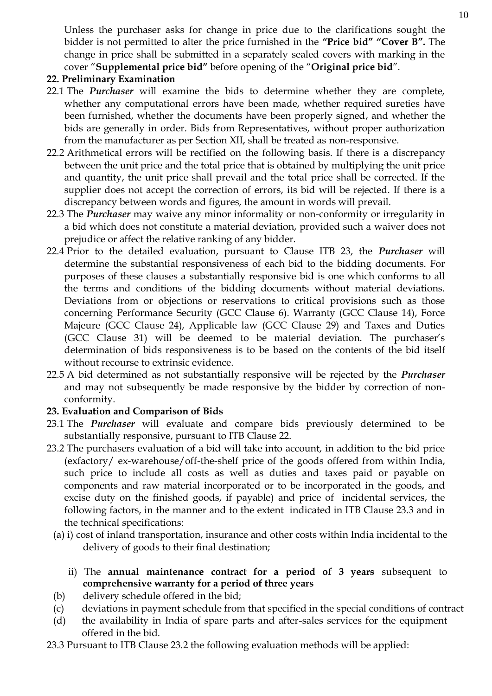Unless the purchaser asks for change in price due to the clarifications sought the bidder is not permitted to alter the price furnished in the **"Price bid" "Cover B".** The change in price shall be submitted in a separately sealed covers with marking in the cover "**Supplemental price bid"** before opening of the "**Original price bid**".

### **22. Preliminary Examination**

- 22.1 The *Purchaser* will examine the bids to determine whether they are complete, whether any computational errors have been made, whether required sureties have been furnished, whether the documents have been properly signed, and whether the bids are generally in order. Bids from Representatives, without proper authorization from the manufacturer as per Section XII, shall be treated as non-responsive.
- 22.2 Arithmetical errors will be rectified on the following basis. If there is a discrepancy between the unit price and the total price that is obtained by multiplying the unit price and quantity, the unit price shall prevail and the total price shall be corrected. If the supplier does not accept the correction of errors, its bid will be rejected. If there is a discrepancy between words and figures, the amount in words will prevail.
- 22.3 The *Purchaser* may waive any minor informality or non-conformity or irregularity in a bid which does not constitute a material deviation, provided such a waiver does not prejudice or affect the relative ranking of any bidder.
- 22.4 Prior to the detailed evaluation, pursuant to Clause ITB 23, the *Purchaser* will determine the substantial responsiveness of each bid to the bidding documents. For purposes of these clauses a substantially responsive bid is one which conforms to all the terms and conditions of the bidding documents without material deviations. Deviations from or objections or reservations to critical provisions such as those concerning Performance Security (GCC Clause 6). Warranty (GCC Clause 14), Force Majeure (GCC Clause 24), Applicable law (GCC Clause 29) and Taxes and Duties (GCC Clause 31) will be deemed to be material deviation. The purchaser's determination of bids responsiveness is to be based on the contents of the bid itself without recourse to extrinsic evidence.
- 22.5 A bid determined as not substantially responsive will be rejected by the *Purchaser*  and may not subsequently be made responsive by the bidder by correction of nonconformity.

# **23. Evaluation and Comparison of Bids**

- 23.1 The *Purchaser* will evaluate and compare bids previously determined to be substantially responsive, pursuant to ITB Clause 22.
- 23.2 The purchasers evaluation of a bid will take into account, in addition to the bid price (exfactory/ ex-warehouse/off-the-shelf price of the goods offered from within India, such price to include all costs as well as duties and taxes paid or payable on components and raw material incorporated or to be incorporated in the goods, and excise duty on the finished goods, if payable) and price of incidental services, the following factors, in the manner and to the extent indicated in ITB Clause 23.3 and in the technical specifications:
	- (a) i) cost of inland transportation, insurance and other costs within India incidental to the delivery of goods to their final destination;
		- ii) The **annual maintenance contract for a period of 3 years** subsequent to **comprehensive warranty for a period of three years**
	- (b) delivery schedule offered in the bid;
	- (c) deviations in payment schedule from that specified in the special conditions of contract
	- (d) the availability in India of spare parts and after-sales services for the equipment offered in the bid.
- 23.3 Pursuant to ITB Clause 23.2 the following evaluation methods will be applied: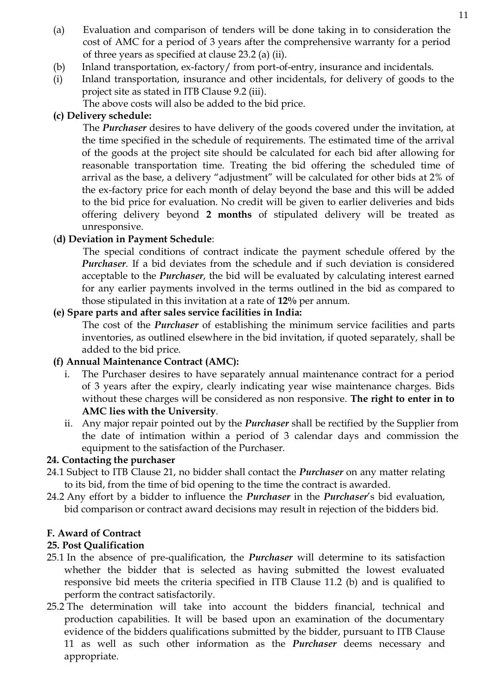- (a) Evaluation and comparison of tenders will be done taking in to consideration the cost of AMC for a period of 3 years after the comprehensive warranty for a period of three years as specified at clause 23.2 (a) (ii).
- (b) Inland transportation, ex-factory/ from port-of-entry, insurance and incidentals.
- (i) Inland transportation, insurance and other incidentals, for delivery of goods to the project site as stated in ITB Clause 9.2 (iii).

The above costs will also be added to the bid price.

# **(c) Delivery schedule:**

The *Purchaser* desires to have delivery of the goods covered under the invitation, at the time specified in the schedule of requirements. The estimated time of the arrival of the goods at the project site should be calculated for each bid after allowing for reasonable transportation time. Treating the bid offering the scheduled time of arrival as the base, a delivery "adjustment" will be calculated for other bids at 2% of the ex-factory price for each month of delay beyond the base and this will be added to the bid price for evaluation. No credit will be given to earlier deliveries and bids offering delivery beyond **2 months** of stipulated delivery will be treated as unresponsive.

# (**d) Deviation in Payment Schedule**:

The special conditions of contract indicate the payment schedule offered by the *Purchaser*. If a bid deviates from the schedule and if such deviation is considered acceptable to the *Purchaser*, the bid will be evaluated by calculating interest earned for any earlier payments involved in the terms outlined in the bid as compared to those stipulated in this invitation at a rate of **12%** per annum.

## **(e) Spare parts and after sales service facilities in India:**

The cost of the *Purchaser* of establishing the minimum service facilities and parts inventories, as outlined elsewhere in the bid invitation, if quoted separately, shall be added to the bid price.

# **(f) Annual Maintenance Contract (AMC):**

- i. The Purchaser desires to have separately annual maintenance contract for a period of 3 years after the expiry, clearly indicating year wise maintenance charges. Bids without these charges will be considered as non responsive. **The right to enter in to AMC lies with the University**.
- ii. Any major repair pointed out by the *Purchaser* shall be rectified by the Supplier from the date of intimation within a period of 3 calendar days and commission the equipment to the satisfaction of the Purchaser.

# **24. Contacting the purchaser**

- 24.1 Subject to ITB Clause 21, no bidder shall contact the *Purchaser* on any matter relating to its bid, from the time of bid opening to the time the contract is awarded.
- 24.2 Any effort by a bidder to influence the *Purchaser* in the *Purchaser*'s bid evaluation, bid comparison or contract award decisions may result in rejection of the bidders bid.

# **F. Award of Contract**

# **25. Post Qualification**

- 25.1 In the absence of pre-qualification, the *Purchaser* will determine to its satisfaction whether the bidder that is selected as having submitted the lowest evaluated responsive bid meets the criteria specified in ITB Clause 11.2 (b) and is qualified to perform the contract satisfactorily.
- 25.2 The determination will take into account the bidders financial, technical and production capabilities. It will be based upon an examination of the documentary evidence of the bidders qualifications submitted by the bidder, pursuant to ITB Clause 11 as well as such other information as the *Purchaser* deems necessary and appropriate.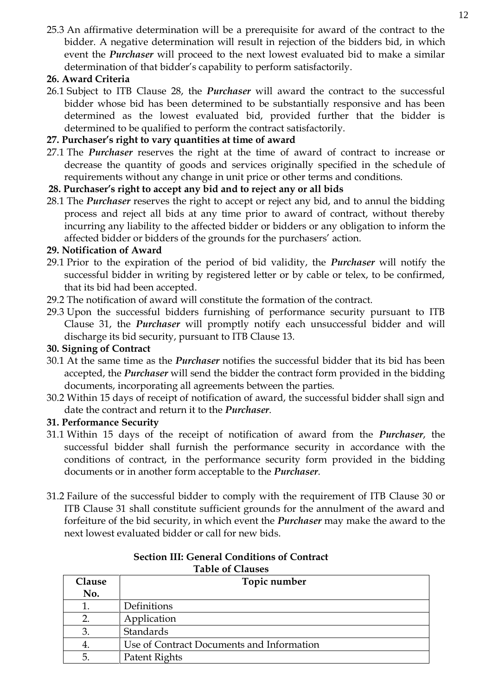25.3 An affirmative determination will be a prerequisite for award of the contract to the bidder. A negative determination will result in rejection of the bidders bid, in which event the *Purchaser* will proceed to the next lowest evaluated bid to make a similar determination of that bidder's capability to perform satisfactorily.

## **26. Award Criteria**

26.1 Subject to ITB Clause 28, the *Purchaser* will award the contract to the successful bidder whose bid has been determined to be substantially responsive and has been determined as the lowest evaluated bid, provided further that the bidder is determined to be qualified to perform the contract satisfactorily.

# **27. Purchaser's right to vary quantities at time of award**

27.1 The *Purchaser* reserves the right at the time of award of contract to increase or decrease the quantity of goods and services originally specified in the schedule of requirements without any change in unit price or other terms and conditions.

# **28. Purchaser's right to accept any bid and to reject any or all bids**

28.1 The *Purchaser* reserves the right to accept or reject any bid, and to annul the bidding process and reject all bids at any time prior to award of contract, without thereby incurring any liability to the affected bidder or bidders or any obligation to inform the affected bidder or bidders of the grounds for the purchasers' action.

## **29. Notification of Award**

- 29.1 Prior to the expiration of the period of bid validity, the *Purchaser* will notify the successful bidder in writing by registered letter or by cable or telex, to be confirmed, that its bid had been accepted.
- 29.2 The notification of award will constitute the formation of the contract.
- 29.3 Upon the successful bidders furnishing of performance security pursuant to ITB Clause 31, the *Purchaser* will promptly notify each unsuccessful bidder and will discharge its bid security, pursuant to ITB Clause 13.

# **30. Signing of Contract**

- 30.1 At the same time as the *Purchaser* notifies the successful bidder that its bid has been accepted, the *Purchaser* will send the bidder the contract form provided in the bidding documents, incorporating all agreements between the parties.
- 30.2 Within 15 days of receipt of notification of award, the successful bidder shall sign and date the contract and return it to the *Purchaser*.

# **31. Performance Security**

- 31.1 Within 15 days of the receipt of notification of award from the *Purchaser*, the successful bidder shall furnish the performance security in accordance with the conditions of contract, in the performance security form provided in the bidding documents or in another form acceptable to the *Purchaser*.
- 31.2 Failure of the successful bidder to comply with the requirement of ITB Clause 30 or ITB Clause 31 shall constitute sufficient grounds for the annulment of the award and forfeiture of the bid security, in which event the *Purchaser* may make the award to the next lowest evaluated bidder or call for new bids.

| Clause | Topic number                              |
|--------|-------------------------------------------|
| No.    |                                           |
|        | Definitions                               |
|        | Application                               |
| 3.     | Standards                                 |
| 4.     | Use of Contract Documents and Information |
| 5.     | Patent Rights                             |

#### **Section III: General Conditions of Contract Table of Clauses**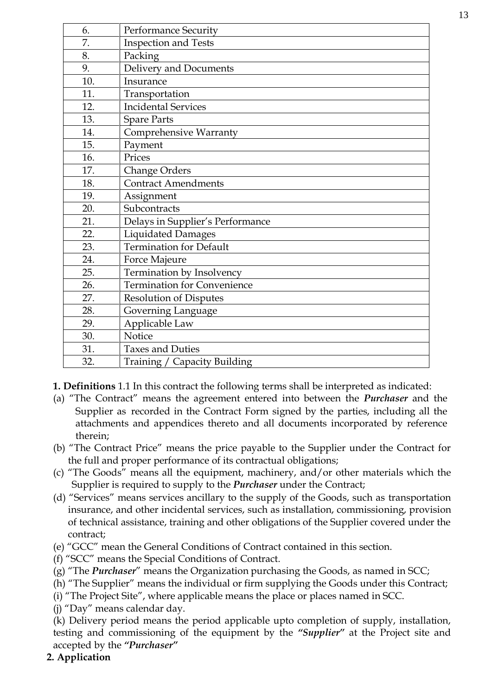| 6.  | <b>Performance Security</b>        |
|-----|------------------------------------|
| 7.  | <b>Inspection and Tests</b>        |
| 8.  | Packing                            |
| 9.  | Delivery and Documents             |
| 10. | Insurance                          |
| 11. | Transportation                     |
| 12. | <b>Incidental Services</b>         |
| 13. | <b>Spare Parts</b>                 |
| 14. | <b>Comprehensive Warranty</b>      |
| 15. | Payment                            |
| 16. | Prices                             |
| 17. | <b>Change Orders</b>               |
| 18. | <b>Contract Amendments</b>         |
| 19. | Assignment                         |
| 20. | Subcontracts                       |
| 21. | Delays in Supplier's Performance   |
| 22. | <b>Liquidated Damages</b>          |
| 23. | <b>Termination for Default</b>     |
| 24. | Force Majeure                      |
| 25. | Termination by Insolvency          |
| 26. | <b>Termination for Convenience</b> |
| 27. | <b>Resolution of Disputes</b>      |
| 28. | Governing Language                 |
| 29. | Applicable Law                     |
| 30. | Notice                             |
| 31. | <b>Taxes and Duties</b>            |
| 32. | Training / Capacity Building       |

**1. Definitions** 1.1 In this contract the following terms shall be interpreted as indicated:

- (a) "The Contract" means the agreement entered into between the *Purchaser* and the Supplier as recorded in the Contract Form signed by the parties, including all the attachments and appendices thereto and all documents incorporated by reference therein;
- (b) "The Contract Price" means the price payable to the Supplier under the Contract for the full and proper performance of its contractual obligations;
- (c) "The Goods" means all the equipment, machinery, and/or other materials which the Supplier is required to supply to the *Purchaser* under the Contract;
- (d) "Services" means services ancillary to the supply of the Goods, such as transportation insurance, and other incidental services, such as installation, commissioning, provision of technical assistance, training and other obligations of the Supplier covered under the contract;
- (e) "GCC" mean the General Conditions of Contract contained in this section.
- (f) "SCC" means the Special Conditions of Contract.
- (g) "The *Purchaser*" means the Organization purchasing the Goods, as named in SCC;
- (h) "The Supplier" means the individual or firm supplying the Goods under this Contract;
- (i) "The Project Site", where applicable means the place or places named in SCC.
- (j) "Day" means calendar day.

(k) Delivery period means the period applicable upto completion of supply, installation, testing and commissioning of the equipment by the *"Supplier"* at the Project site and accepted by the *"Purchaser"*

**2. Application**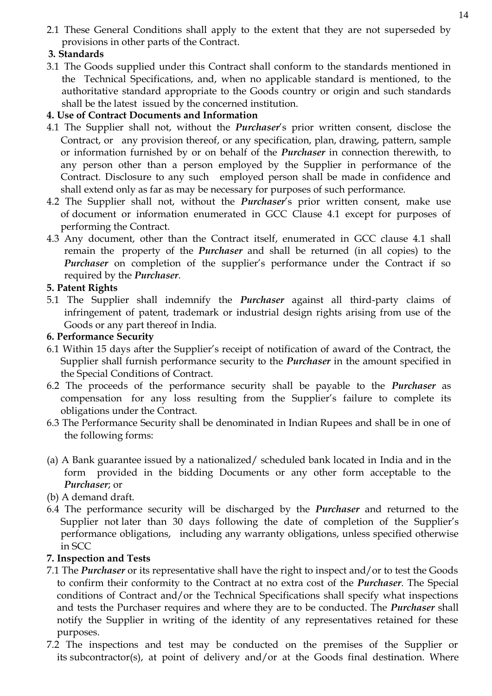2.1 These General Conditions shall apply to the extent that they are not superseded by provisions in other parts of the Contract.

# **3. Standards**

3.1 The Goods supplied under this Contract shall conform to the standards mentioned in the Technical Specifications, and, when no applicable standard is mentioned, to the authoritative standard appropriate to the Goods country or origin and such standards shall be the latest issued by the concerned institution.

# **4. Use of Contract Documents and Information**

- 4.1 The Supplier shall not, without the *Purchaser*'s prior written consent, disclose the Contract, or any provision thereof, or any specification, plan, drawing, pattern, sample or information furnished by or on behalf of the *Purchaser* in connection therewith, to any person other than a person employed by the Supplier in performance of the Contract. Disclosure to any such employed person shall be made in confidence and shall extend only as far as may be necessary for purposes of such performance.
- 4.2 The Supplier shall not, without the *Purchaser*'s prior written consent, make use of document or information enumerated in GCC Clause 4.1 except for purposes of performing the Contract.
- 4.3 Any document, other than the Contract itself, enumerated in GCC clause 4.1 shall remain the property of the *Purchaser* and shall be returned (in all copies) to the *Purchaser* on completion of the supplier's performance under the Contract if so required by the *Purchaser*.

# **5. Patent Rights**

5.1 The Supplier shall indemnify the *Purchaser* against all third-party claims of infringement of patent, trademark or industrial design rights arising from use of the Goods or any part thereof in India.

# **6. Performance Security**

- 6.1 Within 15 days after the Supplier's receipt of notification of award of the Contract, the Supplier shall furnish performance security to the *Purchaser* in the amount specified in the Special Conditions of Contract.
- 6.2 The proceeds of the performance security shall be payable to the *Purchaser* as compensation for any loss resulting from the Supplier's failure to complete its obligations under the Contract.
- 6.3 The Performance Security shall be denominated in Indian Rupees and shall be in one of the following forms:
- (a) A Bank guarantee issued by a nationalized/ scheduled bank located in India and in the form provided in the bidding Documents or any other form acceptable to the *Purchaser*; or
- (b) A demand draft.
- 6.4 The performance security will be discharged by the *Purchaser* and returned to the Supplier not later than 30 days following the date of completion of the Supplier's performance obligations, including any warranty obligations, unless specified otherwise in SCC

# **7. Inspection and Tests**

- 7.1 The *Purchaser* or its representative shall have the right to inspect and/or to test the Goods to confirm their conformity to the Contract at no extra cost of the *Purchaser*. The Special conditions of Contract and/or the Technical Specifications shall specify what inspections and tests the Purchaser requires and where they are to be conducted. The *Purchaser* shall notify the Supplier in writing of the identity of any representatives retained for these purposes.
- 7.2 The inspections and test may be conducted on the premises of the Supplier or its subcontractor(s), at point of delivery and/or at the Goods final destination. Where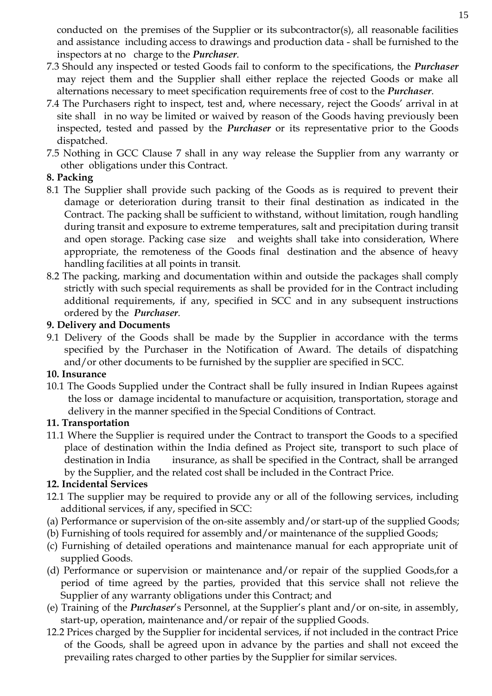conducted on the premises of the Supplier or its subcontractor(s), all reasonable facilities and assistance including access to drawings and production data - shall be furnished to the inspectors at no charge to the *Purchaser*.

- 7.3 Should any inspected or tested Goods fail to conform to the specifications, the *Purchaser*  may reject them and the Supplier shall either replace the rejected Goods or make all alternations necessary to meet specification requirements free of cost to the *Purchaser*.
- 7.4 The Purchasers right to inspect, test and, where necessary, reject the Goods' arrival in at site shall in no way be limited or waived by reason of the Goods having previously been inspected, tested and passed by the *Purchaser* or its representative prior to the Goods dispatched.
- 7.5 Nothing in GCC Clause 7 shall in any way release the Supplier from any warranty or other obligations under this Contract.

## **8. Packing**

- 8.1 The Supplier shall provide such packing of the Goods as is required to prevent their damage or deterioration during transit to their final destination as indicated in the Contract. The packing shall be sufficient to withstand, without limitation, rough handling during transit and exposure to extreme temperatures, salt and precipitation during transit and open storage. Packing case size and weights shall take into consideration, Where appropriate, the remoteness of the Goods final destination and the absence of heavy handling facilities at all points in transit.
- 8.2 The packing, marking and documentation within and outside the packages shall comply strictly with such special requirements as shall be provided for in the Contract including additional requirements, if any, specified in SCC and in any subsequent instructions ordered by the *Purchaser*.

## **9. Delivery and Documents**

9.1 Delivery of the Goods shall be made by the Supplier in accordance with the terms specified by the Purchaser in the Notification of Award. The details of dispatching and/or other documents to be furnished by the supplier are specified in SCC.

#### **10. Insurance**

10.1 The Goods Supplied under the Contract shall be fully insured in Indian Rupees against the loss or damage incidental to manufacture or acquisition, transportation, storage and delivery in the manner specified in the Special Conditions of Contract.

#### **11. Transportation**

11.1 Where the Supplier is required under the Contract to transport the Goods to a specified place of destination within the India defined as Project site, transport to such place of destination in India insurance, as shall be specified in the Contract, shall be arranged by the Supplier, and the related cost shall be included in the Contract Price.

#### **12. Incidental Services**

- 12.1 The supplier may be required to provide any or all of the following services, including additional services, if any, specified in SCC:
- (a) Performance or supervision of the on-site assembly and/or start-up of the supplied Goods;
- (b) Furnishing of tools required for assembly and/or maintenance of the supplied Goods;
- (c) Furnishing of detailed operations and maintenance manual for each appropriate unit of supplied Goods.
- (d) Performance or supervision or maintenance and/or repair of the supplied Goods,for a period of time agreed by the parties, provided that this service shall not relieve the Supplier of any warranty obligations under this Contract; and
- (e) Training of the *Purchaser*'s Personnel, at the Supplier's plant and/or on-site, in assembly, start-up, operation, maintenance and/or repair of the supplied Goods.
- 12.2 Prices charged by the Supplier for incidental services, if not included in the contract Price of the Goods, shall be agreed upon in advance by the parties and shall not exceed the prevailing rates charged to other parties by the Supplier for similar services.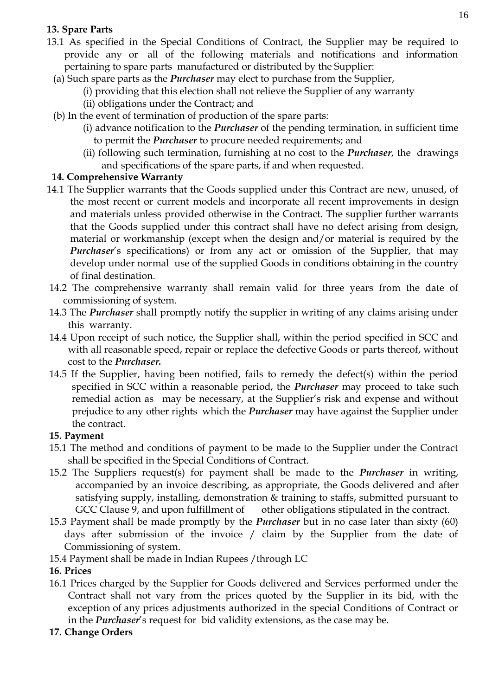# **13. Spare Parts**

- 13.1 As specified in the Special Conditions of Contract, the Supplier may be required to provide any or all of the following materials and notifications and information pertaining to spare parts manufactured or distributed by the Supplier:
	- (a) Such spare parts as the *Purchaser* may elect to purchase from the Supplier,
		- (i) providing that this election shall not relieve the Supplier of any warranty
		- (ii) obligations under the Contract; and
	- (b) In the event of termination of production of the spare parts:
		- (i) advance notification to the *Purchaser* of the pending termination, in sufficient time to permit the *Purchaser* to procure needed requirements; and
		- (ii) following such termination, furnishing at no cost to the *Purchaser*, the drawings and specifications of the spare parts, if and when requested.

# **14. Comprehensive Warranty**

- 14.1 The Supplier warrants that the Goods supplied under this Contract are new, unused, of the most recent or current models and incorporate all recent improvements in design and materials unless provided otherwise in the Contract. The supplier further warrants that the Goods supplied under this contract shall have no defect arising from design, material or workmanship (except when the design and/or material is required by the *Purchaser's* specifications) or from any act or omission of the Supplier, that may develop under normal use of the supplied Goods in conditions obtaining in the country of final destination.
- 14.2 The comprehensive warranty shall remain valid for three years from the date of commissioning of system.
- 14.3 The *Purchaser* shall promptly notify the supplier in writing of any claims arising under this warranty.
- 14.4 Upon receipt of such notice, the Supplier shall, within the period specified in SCC and with all reasonable speed, repair or replace the defective Goods or parts thereof, without cost to the *Purchaser.*
- 14.5 If the Supplier, having been notified, fails to remedy the defect(s) within the period specified in SCC within a reasonable period, the *Purchaser* may proceed to take such remedial action as may be necessary, at the Supplier's risk and expense and without prejudice to any other rights which the *Purchaser* may have against the Supplier under the contract.

# **15. Payment**

- 15.1 The method and conditions of payment to be made to the Supplier under the Contract shall be specified in the Special Conditions of Contract.
- 15.2 The Suppliers request(s) for payment shall be made to the *Purchaser* in writing, accompanied by an invoice describing, as appropriate, the Goods delivered and after satisfying supply, installing, demonstration & training to staffs, submitted pursuant to GCC Clause 9, and upon fulfillment of other obligations stipulated in the contract.
- 15.3 Payment shall be made promptly by the *Purchaser* but in no case later than sixty (60) days after submission of the invoice / claim by the Supplier from the date of Commissioning of system.
- 15.4 Payment shall be made in Indian Rupees /through LC

#### **16. Prices**

- 16.1 Prices charged by the Supplier for Goods delivered and Services performed under the Contract shall not vary from the prices quoted by the Supplier in its bid, with the exception of any prices adjustments authorized in the special Conditions of Contract or in the *Purchaser*'s request for bid validity extensions, as the case may be.
- **17. Change Orders**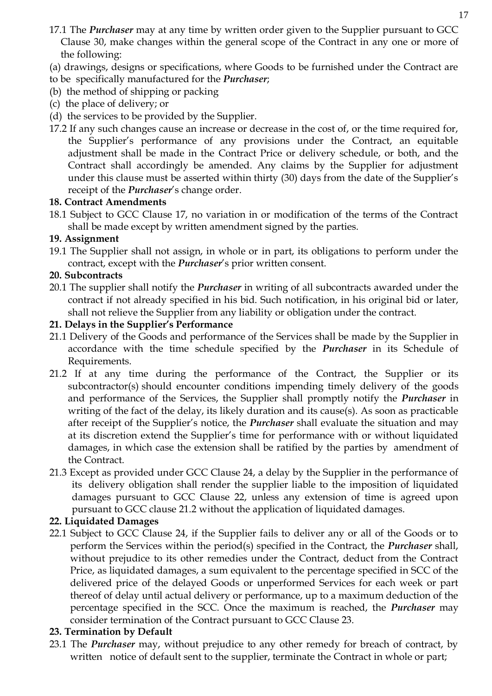- 17.1 The *Purchaser* may at any time by written order given to the Supplier pursuant to GCC Clause 30, make changes within the general scope of the Contract in any one or more of the following:
- (a) drawings, designs or specifications, where Goods to be furnished under the Contract are
- to be specifically manufactured for the *Purchaser*;
- (b) the method of shipping or packing
- (c) the place of delivery; or
- (d) the services to be provided by the Supplier.
- 17.2 If any such changes cause an increase or decrease in the cost of, or the time required for, the Supplier's performance of any provisions under the Contract, an equitable adjustment shall be made in the Contract Price or delivery schedule, or both, and the Contract shall accordingly be amended. Any claims by the Supplier for adjustment under this clause must be asserted within thirty (30) days from the date of the Supplier's receipt of the *Purchaser*'s change order.

## **18. Contract Amendments**

18.1 Subject to GCC Clause 17, no variation in or modification of the terms of the Contract shall be made except by written amendment signed by the parties.

## **19. Assignment**

19.1 The Supplier shall not assign, in whole or in part, its obligations to perform under the contract, except with the *Purchaser*'s prior written consent.

# **20. Subcontracts**

20.1 The supplier shall notify the *Purchaser* in writing of all subcontracts awarded under the contract if not already specified in his bid. Such notification, in his original bid or later, shall not relieve the Supplier from any liability or obligation under the contract.

# **21. Delays in the Supplier's Performance**

- 21.1 Delivery of the Goods and performance of the Services shall be made by the Supplier in accordance with the time schedule specified by the *Purchaser* in its Schedule of Requirements.
- 21.2 If at any time during the performance of the Contract, the Supplier or its subcontractor(s) should encounter conditions impending timely delivery of the goods and performance of the Services, the Supplier shall promptly notify the *Purchaser* in writing of the fact of the delay, its likely duration and its cause(s). As soon as practicable after receipt of the Supplier's notice, the *Purchaser* shall evaluate the situation and may at its discretion extend the Supplier's time for performance with or without liquidated damages, in which case the extension shall be ratified by the parties by amendment of the Contract.
- 21.3 Except as provided under GCC Clause 24, a delay by the Supplier in the performance of its delivery obligation shall render the supplier liable to the imposition of liquidated damages pursuant to GCC Clause 22, unless any extension of time is agreed upon pursuant to GCC clause 21.2 without the application of liquidated damages.

# **22. Liquidated Damages**

22.1 Subject to GCC Clause 24, if the Supplier fails to deliver any or all of the Goods or to perform the Services within the period(s) specified in the Contract, the *Purchaser* shall, without prejudice to its other remedies under the Contract, deduct from the Contract Price, as liquidated damages, a sum equivalent to the percentage specified in SCC of the delivered price of the delayed Goods or unperformed Services for each week or part thereof of delay until actual delivery or performance, up to a maximum deduction of the percentage specified in the SCC. Once the maximum is reached, the *Purchaser* may consider termination of the Contract pursuant to GCC Clause 23.

# **23. Termination by Default**

23.1 The *Purchaser* may, without prejudice to any other remedy for breach of contract, by written notice of default sent to the supplier, terminate the Contract in whole or part;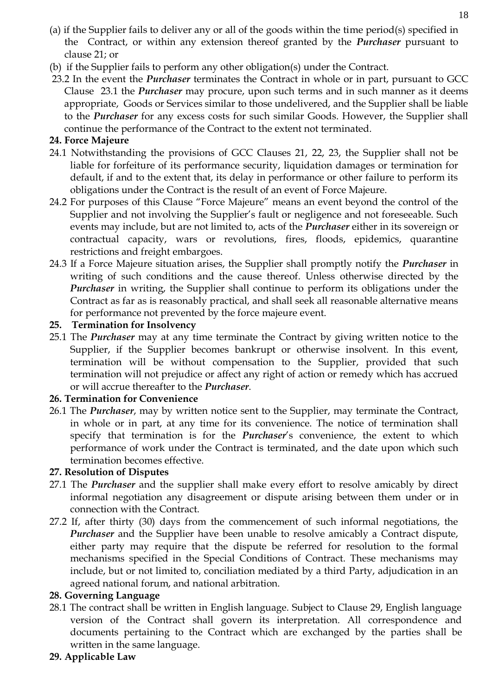- (a) if the Supplier fails to deliver any or all of the goods within the time period(s) specified in the Contract, or within any extension thereof granted by the *Purchaser* pursuant to clause 21; or
- (b) if the Supplier fails to perform any other obligation(s) under the Contract.
- 23.2 In the event the *Purchaser* terminates the Contract in whole or in part, pursuant to GCC Clause 23.1 the *Purchaser* may procure, upon such terms and in such manner as it deems appropriate, Goods or Services similar to those undelivered, and the Supplier shall be liable to the *Purchaser* for any excess costs for such similar Goods. However, the Supplier shall continue the performance of the Contract to the extent not terminated.

### **24. Force Majeure**

- 24.1 Notwithstanding the provisions of GCC Clauses 21, 22, 23, the Supplier shall not be liable for forfeiture of its performance security, liquidation damages or termination for default, if and to the extent that, its delay in performance or other failure to perform its obligations under the Contract is the result of an event of Force Majeure.
- 24.2 For purposes of this Clause "Force Majeure" means an event beyond the control of the Supplier and not involving the Supplier's fault or negligence and not foreseeable. Such events may include, but are not limited to, acts of the *Purchaser* either in its sovereign or contractual capacity, wars or revolutions, fires, floods, epidemics, quarantine restrictions and freight embargoes.
- 24.3 If a Force Majeure situation arises, the Supplier shall promptly notify the *Purchaser* in writing of such conditions and the cause thereof. Unless otherwise directed by the *Purchaser* in writing, the Supplier shall continue to perform its obligations under the Contract as far as is reasonably practical, and shall seek all reasonable alternative means for performance not prevented by the force majeure event.

## **25. Termination for Insolvency**

25.1 The *Purchaser* may at any time terminate the Contract by giving written notice to the Supplier, if the Supplier becomes bankrupt or otherwise insolvent. In this event, termination will be without compensation to the Supplier, provided that such termination will not prejudice or affect any right of action or remedy which has accrued or will accrue thereafter to the *Purchaser*.

#### **26. Termination for Convenience**

26.1 The *Purchaser*, may by written notice sent to the Supplier, may terminate the Contract, in whole or in part, at any time for its convenience. The notice of termination shall specify that termination is for the *Purchaser*'s convenience, the extent to which performance of work under the Contract is terminated, and the date upon which such termination becomes effective.

#### **27. Resolution of Disputes**

- 27.1 The *Purchaser* and the supplier shall make every effort to resolve amicably by direct informal negotiation any disagreement or dispute arising between them under or in connection with the Contract.
- 27.2 If, after thirty (30) days from the commencement of such informal negotiations, the *Purchaser* and the Supplier have been unable to resolve amicably a Contract dispute, either party may require that the dispute be referred for resolution to the formal mechanisms specified in the Special Conditions of Contract. These mechanisms may include, but or not limited to, conciliation mediated by a third Party, adjudication in an agreed national forum, and national arbitration.

#### **28. Governing Language**

28.1 The contract shall be written in English language. Subject to Clause 29, English language version of the Contract shall govern its interpretation. All correspondence and documents pertaining to the Contract which are exchanged by the parties shall be written in the same language.

#### **29. Applicable Law**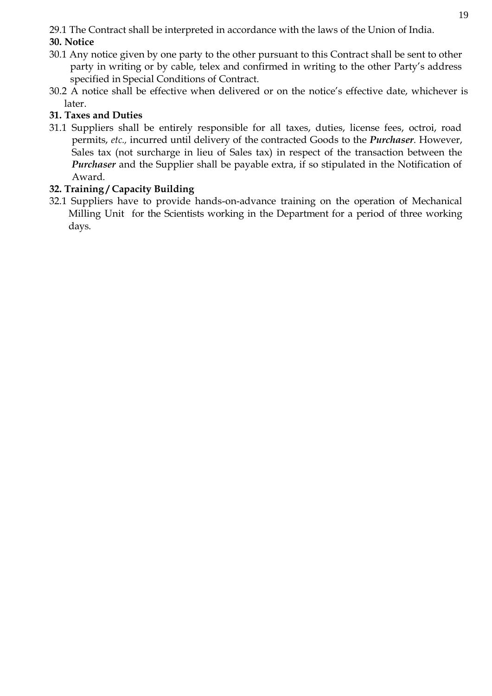29.1 The Contract shall be interpreted in accordance with the laws of the Union of India. **30. Notice**

- 30.1 Any notice given by one party to the other pursuant to this Contract shall be sent to other party in writing or by cable, telex and confirmed in writing to the other Party's address specified in Special Conditions of Contract.
- 30.2 A notice shall be effective when delivered or on the notice's effective date, whichever is later.

# **31. Taxes and Duties**

31.1 Suppliers shall be entirely responsible for all taxes, duties, license fees, octroi, road permits, *etc.,* incurred until delivery of the contracted Goods to the *Purchaser*. However, Sales tax (not surcharge in lieu of Sales tax) in respect of the transaction between the *Purchaser* and the Supplier shall be payable extra, if so stipulated in the Notification of Award.

## **32. Training / Capacity Building**

32.1 Suppliers have to provide hands-on-advance training on the operation of Mechanical Milling Unit for the Scientists working in the Department for a period of three working days.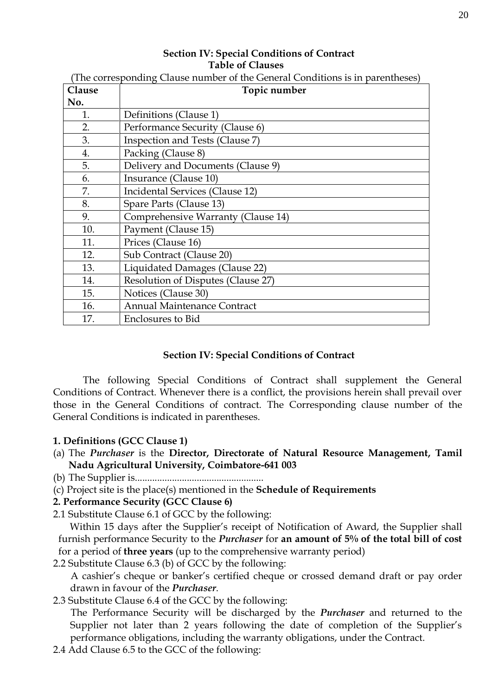#### **Section IV: Special Conditions of Contract Table of Clauses**

| Clause | Topic number                       |
|--------|------------------------------------|
| No.    |                                    |
| 1.     | Definitions (Clause 1)             |
| 2.     | Performance Security (Clause 6)    |
| 3.     | Inspection and Tests (Clause 7)    |
| 4.     | Packing (Clause 8)                 |
| 5.     | Delivery and Documents (Clause 9)  |
| 6.     | Insurance (Clause 10)              |
| 7.     | Incidental Services (Clause 12)    |
| 8.     | Spare Parts (Clause 13)            |
| 9.     | Comprehensive Warranty (Clause 14) |
| 10.    | Payment (Clause 15)                |
| 11.    | Prices (Clause 16)                 |
| 12.    | Sub Contract (Clause 20)           |
| 13.    | Liquidated Damages (Clause 22)     |
| 14.    | Resolution of Disputes (Clause 27) |
| 15.    | Notices (Clause 30)                |
| 16.    | <b>Annual Maintenance Contract</b> |
| 17.    | Enclosures to Bid                  |

(The corresponding Clause number of the General Conditions is in parentheses)

#### **Section IV: Special Conditions of Contract**

The following Special Conditions of Contract shall supplement the General Conditions of Contract. Whenever there is a conflict, the provisions herein shall prevail over those in the General Conditions of contract. The Corresponding clause number of the General Conditions is indicated in parentheses.

#### **1. Definitions (GCC Clause 1)**

- (a) The *Purchaser* is the **Director, Directorate of Natural Resource Management, Tamil Nadu Agricultural University, Coimbatore-641 003**
- (b) The Supplier is....................................................
- (c) Project site is the place(s) mentioned in the **Schedule of Requirements**

#### **2. Performance Security (GCC Clause 6)**

2.1 Substitute Clause 6.1 of GCC by the following:

 Within 15 days after the Supplier's receipt of Notification of Award, the Supplier shall furnish performance Security to the *Purchaser* for **an amount of 5% of the total bill of cost**  for a period of **three years** (up to the comprehensive warranty period)

2.2 Substitute Clause 6.3 (b) of GCC by the following:

 A cashier's cheque or banker's certified cheque or crossed demand draft or pay order drawn in favour of the *Purchaser*.

2.3 Substitute Clause 6.4 of the GCC by the following:

 The Performance Security will be discharged by the *Purchaser* and returned to the Supplier not later than 2 years following the date of completion of the Supplier's performance obligations, including the warranty obligations, under the Contract.

2.4 Add Clause 6.5 to the GCC of the following: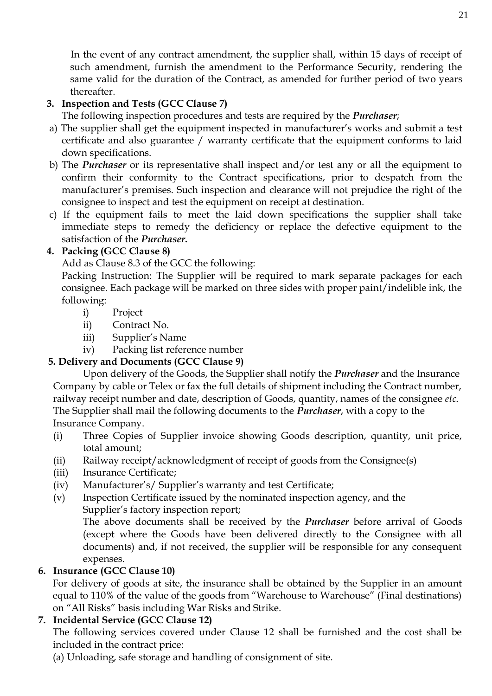In the event of any contract amendment, the supplier shall, within 15 days of receipt of such amendment, furnish the amendment to the Performance Security, rendering the same valid for the duration of the Contract, as amended for further period of two years thereafter.

# **3. Inspection and Tests (GCC Clause 7)**

The following inspection procedures and tests are required by the *Purchaser*;

- a) The supplier shall get the equipment inspected in manufacturer's works and submit a test certificate and also guarantee / warranty certificate that the equipment conforms to laid down specifications.
- b) The *Purchaser* or its representative shall inspect and/or test any or all the equipment to confirm their conformity to the Contract specifications, prior to despatch from the manufacturer's premises. Such inspection and clearance will not prejudice the right of the consignee to inspect and test the equipment on receipt at destination.
- c) If the equipment fails to meet the laid down specifications the supplier shall take immediate steps to remedy the deficiency or replace the defective equipment to the satisfaction of the *Purchaser***.**

# **4. Packing (GCC Clause 8)**

Add as Clause 8.3 of the GCC the following:

Packing Instruction: The Supplier will be required to mark separate packages for each consignee. Each package will be marked on three sides with proper paint/indelible ink, the following:

- i) Project
- ii) Contract No.
- iii) Supplier's Name
- iv) Packing list reference number

# **5. Delivery and Documents (GCC Clause 9)**

Upon delivery of the Goods, the Supplier shall notify the *Purchaser* and the Insurance Company by cable or Telex or fax the full details of shipment including the Contract number, railway receipt number and date, description of Goods, quantity, names of the consignee *etc*. The Supplier shall mail the following documents to the *Purchaser*, with a copy to the Insurance Company.

- (i) Three Copies of Supplier invoice showing Goods description, quantity, unit price, total amount;
- (ii) Railway receipt/acknowledgment of receipt of goods from the Consignee(s)
- (iii) Insurance Certificate;
- (iv) Manufacturer's/ Supplier's warranty and test Certificate;
- (v) Inspection Certificate issued by the nominated inspection agency, and the Supplier's factory inspection report;

The above documents shall be received by the *Purchaser* before arrival of Goods (except where the Goods have been delivered directly to the Consignee with all documents) and, if not received, the supplier will be responsible for any consequent expenses.

# **6. Insurance (GCC Clause 10)**

For delivery of goods at site, the insurance shall be obtained by the Supplier in an amount equal to 110% of the value of the goods from "Warehouse to Warehouse" (Final destinations) on "All Risks" basis including War Risks and Strike.

# **7. Incidental Service (GCC Clause 12)**

The following services covered under Clause 12 shall be furnished and the cost shall be included in the contract price:

(a) Unloading, safe storage and handling of consignment of site.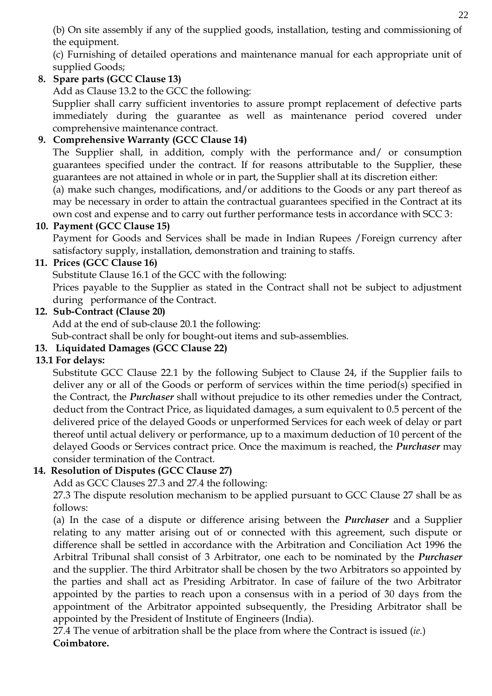(b) On site assembly if any of the supplied goods, installation, testing and commissioning of the equipment.

(c) Furnishing of detailed operations and maintenance manual for each appropriate unit of supplied Goods;

# **8. Spare parts (GCC Clause 13)**

Add as Clause 13.2 to the GCC the following:

Supplier shall carry sufficient inventories to assure prompt replacement of defective parts immediately during the guarantee as well as maintenance period covered under comprehensive maintenance contract.

# **9. Comprehensive Warranty (GCC Clause 14)**

The Supplier shall, in addition, comply with the performance and/ or consumption guarantees specified under the contract. If for reasons attributable to the Supplier, these guarantees are not attained in whole or in part, the Supplier shall at its discretion either:

(a) make such changes, modifications, and/or additions to the Goods or any part thereof as may be necessary in order to attain the contractual guarantees specified in the Contract at its own cost and expense and to carry out further performance tests in accordance with SCC 3:

# **10. Payment (GCC Clause 15)**

Payment for Goods and Services shall be made in Indian Rupees /Foreign currency after satisfactory supply, installation, demonstration and training to staffs.

# **11. Prices (GCC Clause 16)**

Substitute Clause 16.1 of the GCC with the following: Prices payable to the Supplier as stated in the Contract shall not be subject to adjustment during performance of the Contract.

# **12. Sub-Contract (Clause 20)**

Add at the end of sub-clause 20.1 the following:

Sub-contract shall be only for bought-out items and sub-assemblies.

# **13. Liquidated Damages (GCC Clause 22)**

# **13.1 For delays:**

Substitute GCC Clause 22.1 by the following Subject to Clause 24, if the Supplier fails to deliver any or all of the Goods or perform of services within the time period(s) specified in the Contract, the *Purchaser* shall without prejudice to its other remedies under the Contract, deduct from the Contract Price, as liquidated damages, a sum equivalent to 0.5 percent of the delivered price of the delayed Goods or unperformed Services for each week of delay or part thereof until actual delivery or performance, up to a maximum deduction of 10 percent of the delayed Goods or Services contract price. Once the maximum is reached, the *Purchaser* may consider termination of the Contract.

# **14. Resolution of Disputes (GCC Clause 27)**

Add as GCC Clauses 27.3 and 27.4 the following:

27.3 The dispute resolution mechanism to be applied pursuant to GCC Clause 27 shall be as follows:

(a) In the case of a dispute or difference arising between the *Purchaser* and a Supplier relating to any matter arising out of or connected with this agreement, such dispute or difference shall be settled in accordance with the Arbitration and Conciliation Act 1996 the Arbitral Tribunal shall consist of 3 Arbitrator, one each to be nominated by the *Purchaser*  and the supplier. The third Arbitrator shall be chosen by the two Arbitrators so appointed by the parties and shall act as Presiding Arbitrator. In case of failure of the two Arbitrator appointed by the parties to reach upon a consensus with in a period of 30 days from the appointment of the Arbitrator appointed subsequently, the Presiding Arbitrator shall be appointed by the President of Institute of Engineers (India).

27.4 The venue of arbitration shall be the place from where the Contract is issued (*ie.*) **Coimbatore.**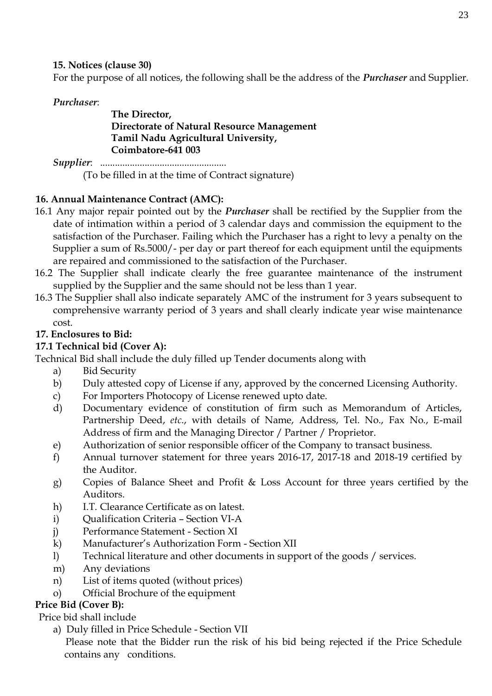**15. Notices (clause 30)**

For the purpose of all notices, the following shall be the address of the *Purchaser* and Supplier.

*Purchaser*:

#### **The Director, Directorate of Natural Resource Management Tamil Nadu Agricultural University, Coimbatore-641 003**

*Supplier*: ................................................... (To be filled in at the time of Contract signature)

# **16. Annual Maintenance Contract (AMC):**

- 16.1 Any major repair pointed out by the *Purchaser* shall be rectified by the Supplier from the date of intimation within a period of 3 calendar days and commission the equipment to the satisfaction of the Purchaser. Failing which the Purchaser has a right to levy a penalty on the Supplier a sum of Rs.5000/- per day or part thereof for each equipment until the equipments are repaired and commissioned to the satisfaction of the Purchaser.
- 16.2 The Supplier shall indicate clearly the free guarantee maintenance of the instrument supplied by the Supplier and the same should not be less than 1 year.
- 16.3 The Supplier shall also indicate separately AMC of the instrument for 3 years subsequent to comprehensive warranty period of 3 years and shall clearly indicate year wise maintenance cost.

# **17. Enclosures to Bid:**

# **17.1 Technical bid (Cover A):**

Technical Bid shall include the duly filled up Tender documents along with

- a) Bid Security
- b) Duly attested copy of License if any, approved by the concerned Licensing Authority.
- c) For Importers Photocopy of License renewed upto date.
- d) Documentary evidence of constitution of firm such as Memorandum of Articles, Partnership Deed, *etc*., with details of Name, Address, Tel. No., Fax No., E-mail Address of firm and the Managing Director / Partner / Proprietor.
- e) Authorization of senior responsible officer of the Company to transact business.
- f) Annual turnover statement for three years 2016-17, 2017-18 and 2018-19 certified by the Auditor.
- g) Copies of Balance Sheet and Profit & Loss Account for three years certified by the Auditors.
- h) I.T. Clearance Certificate as on latest.
- i) Qualification Criteria Section VI-A
- j) Performance Statement Section XI
- k) Manufacturer's Authorization Form Section XII
- l) Technical literature and other documents in support of the goods / services.
- m) Any deviations
- n) List of items quoted (without prices)
- o) Official Brochure of the equipment

# **Price Bid (Cover B):**

Price bid shall include

a) Duly filled in Price Schedule - Section VII

 Please note that the Bidder run the risk of his bid being rejected if the Price Schedule contains any conditions.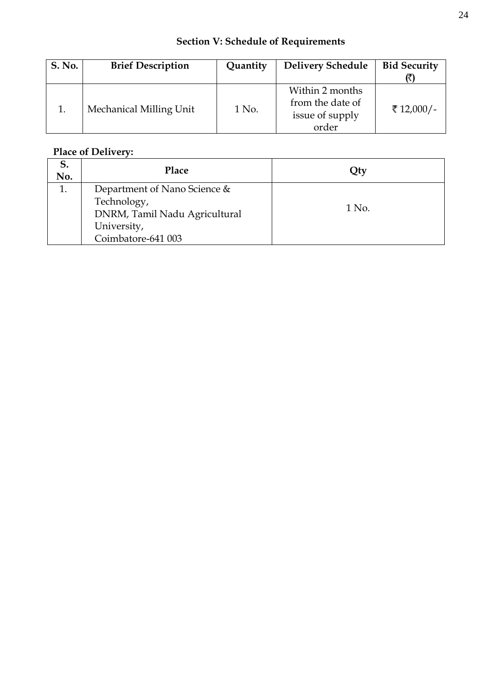# **Section V: Schedule of Requirements**

| <b>S. No.</b> | <b>Brief Description</b><br>Quantity |       | <b>Delivery Schedule</b>                                        | <b>Bid Security</b> |
|---------------|--------------------------------------|-------|-----------------------------------------------------------------|---------------------|
|               | Mechanical Milling Unit              | 1 No. | Within 2 months<br>from the date of<br>issue of supply<br>order | ₹ 12,000/-          |

# **Place of Delivery:**

| ⊃.<br>No. | <b>Place</b>                  | Qty   |
|-----------|-------------------------------|-------|
| 1.        | Department of Nano Science &  |       |
|           | Technology,                   | 1 No. |
|           | DNRM, Tamil Nadu Agricultural |       |
|           | University,                   |       |
|           | Coimbatore-641 003            |       |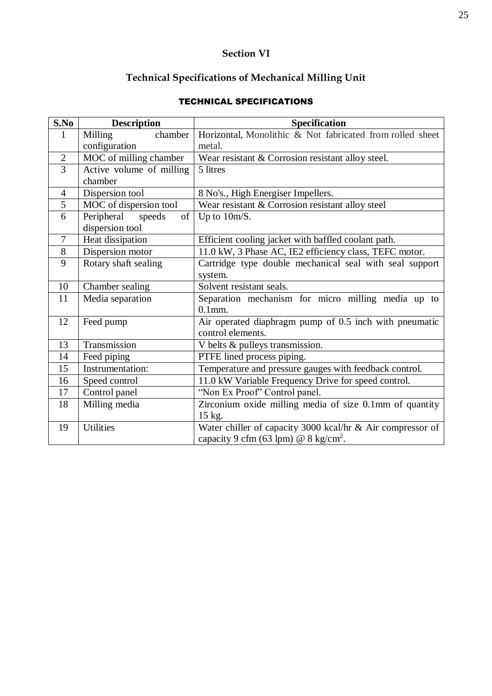# **Section VI**

# **Technical Specifications of Mechanical Milling Unit**

# TECHNICAL SPECIFICATIONS

| S.No           | <b>Description</b>         | <b>Specification</b>                                       |
|----------------|----------------------------|------------------------------------------------------------|
| 1              | chamber<br>Milling         | Horizontal, Monolithic & Not fabricated from rolled sheet  |
|                | configuration              | metal.                                                     |
| $\overline{2}$ | MOC of milling chamber     | Wear resistant & Corrosion resistant alloy steel.          |
| 3              | Active volume of milling   | 5 litres                                                   |
|                | chamber                    |                                                            |
| $\overline{4}$ | Dispersion tool            | 8 No's., High Energiser Impellers.                         |
| 5              | MOC of dispersion tool     | Wear resistant & Corrosion resistant alloy steel           |
| 6              | of<br>Peripheral<br>speeds | Up to $10m/S$ .                                            |
|                | dispersion tool            |                                                            |
| $\overline{7}$ | Heat dissipation           | Efficient cooling jacket with baffled coolant path.        |
| 8              | Dispersion motor           | 11.0 kW, 3 Phase AC, IE2 efficiency class, TEFC motor.     |
| 9              | Rotary shaft sealing       | Cartridge type double mechanical seal with seal support    |
|                |                            | system.                                                    |
| 10             | Chamber sealing            | Solvent resistant seals.                                   |
| 11             | Media separation           | Separation mechanism for micro milling media up to         |
|                |                            | $0.1$ mm.                                                  |
| 12             | Feed pump                  | Air operated diaphragm pump of 0.5 inch with pneumatic     |
|                |                            | control elements.                                          |
| 13             | Transmission               | V belts & pulleys transmission.                            |
| 14             | Feed piping                | PTFE lined process piping.                                 |
| 15             | Instrumentation:           | Temperature and pressure gauges with feedback control.     |
| 16             | Speed control              | 11.0 kW Variable Frequency Drive for speed control.        |
| 17             | Control panel              | "Non Ex Proof" Control panel.                              |
| 18             | Milling media              | Zirconium oxide milling media of size 0.1mm of quantity    |
|                |                            | 15 kg.                                                     |
| 19             | <b>Utilities</b>           | Water chiller of capacity 3000 kcal/hr & Air compressor of |
|                |                            | capacity 9 cfm (63 lpm) @ $8 \text{ kg/cm}^2$ .            |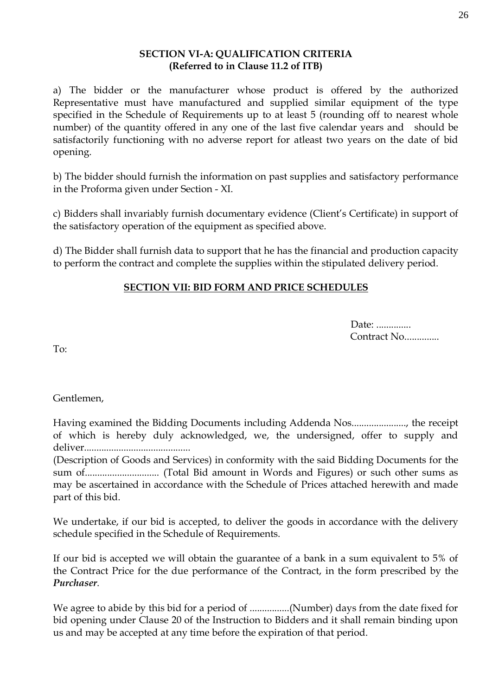#### **SECTION VI-A: QUALIFICATION CRITERIA (Referred to in Clause 11.2 of ITB)**

a) The bidder or the manufacturer whose product is offered by the authorized Representative must have manufactured and supplied similar equipment of the type specified in the Schedule of Requirements up to at least 5 (rounding off to nearest whole number) of the quantity offered in any one of the last five calendar years and should be satisfactorily functioning with no adverse report for atleast two years on the date of bid opening.

b) The bidder should furnish the information on past supplies and satisfactory performance in the Proforma given under Section - XI.

c) Bidders shall invariably furnish documentary evidence (Client's Certificate) in support of the satisfactory operation of the equipment as specified above.

d) The Bidder shall furnish data to support that he has the financial and production capacity to perform the contract and complete the supplies within the stipulated delivery period.

# **SECTION VII: BID FORM AND PRICE SCHEDULES**

Date: .............. Contract No..............

To:

Gentlemen,

Having examined the Bidding Documents including Addenda Nos......................, the receipt of which is hereby duly acknowledged, we, the undersigned, offer to supply and deliver...........................................

(Description of Goods and Services) in conformity with the said Bidding Documents for the sum of.............................. (Total Bid amount in Words and Figures) or such other sums as may be ascertained in accordance with the Schedule of Prices attached herewith and made part of this bid.

We undertake, if our bid is accepted, to deliver the goods in accordance with the delivery schedule specified in the Schedule of Requirements.

If our bid is accepted we will obtain the guarantee of a bank in a sum equivalent to 5% of the Contract Price for the due performance of the Contract, in the form prescribed by the *Purchaser*.

We agree to abide by this bid for a period of ................(Number) days from the date fixed for bid opening under Clause 20 of the Instruction to Bidders and it shall remain binding upon us and may be accepted at any time before the expiration of that period.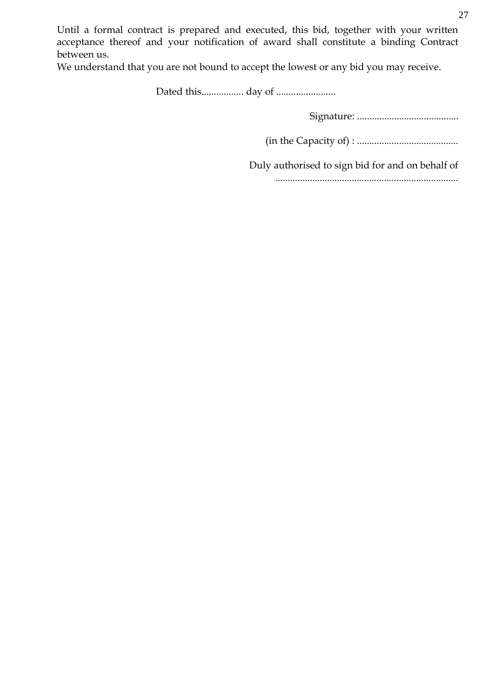Until a formal contract is prepared and executed, this bid, together with your written acceptance thereof and your notification of award shall constitute a binding Contract between us.

We understand that you are not bound to accept the lowest or any bid you may receive.

Dated this................. day of ........................

Signature: .........................................

(in the Capacity of) : .........................................

Duly authorised to sign bid for and on behalf of

..........................................................................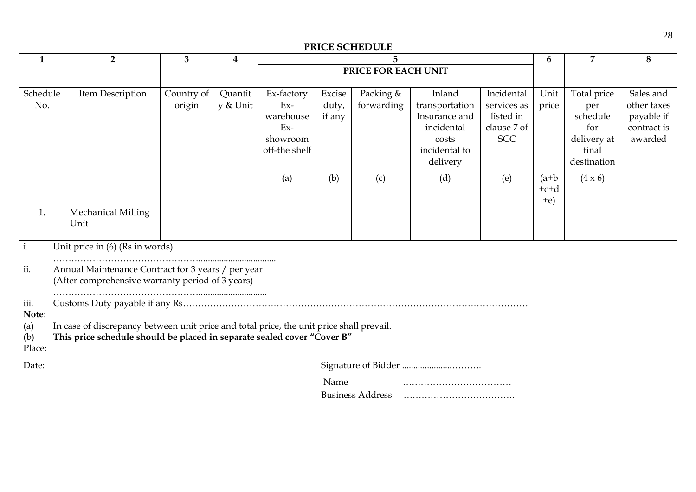#### **PRICE SCHEDULE**

| $\mathbf{1}$                          | $\overline{2}$                                                                                                                                                      | 3                    | $\overline{\mathbf{4}}$ | 5                                                                      |                           |                         | 6                                                                                             | 7                                                                   | 8                          |                                                                              |                                                                  |
|---------------------------------------|---------------------------------------------------------------------------------------------------------------------------------------------------------------------|----------------------|-------------------------|------------------------------------------------------------------------|---------------------------|-------------------------|-----------------------------------------------------------------------------------------------|---------------------------------------------------------------------|----------------------------|------------------------------------------------------------------------------|------------------------------------------------------------------|
|                                       |                                                                                                                                                                     |                      |                         |                                                                        | PRICE FOR EACH UNIT       |                         |                                                                                               |                                                                     |                            |                                                                              |                                                                  |
| Schedule<br>No.                       | Item Description                                                                                                                                                    | Country of<br>origin | Quantit<br>y & Unit     | Ex-factory<br>$Ex-$<br>warehouse<br>$Ex-$<br>showroom<br>off-the shelf | Excise<br>duty,<br>if any | Packing &<br>forwarding | Inland<br>transportation<br>Insurance and<br>incidental<br>costs<br>incidental to<br>delivery | Incidental<br>services as<br>listed in<br>clause 7 of<br><b>SCC</b> | Unit<br>price              | Total price<br>per<br>schedule<br>for<br>delivery at<br>final<br>destination | Sales and<br>other taxes<br>payable if<br>contract is<br>awarded |
|                                       |                                                                                                                                                                     |                      |                         | (a)                                                                    | (b)                       | (c)                     | (d)                                                                                           | (e)                                                                 | $(a+b)$<br>$+c+d$<br>$+e)$ | $(4 \times 6)$                                                               |                                                                  |
| 1.                                    | Mechanical Milling<br>Unit                                                                                                                                          |                      |                         |                                                                        |                           |                         |                                                                                               |                                                                     |                            |                                                                              |                                                                  |
| i.                                    | Unit price in (6) (Rs in words)                                                                                                                                     |                      |                         |                                                                        |                           |                         |                                                                                               |                                                                     |                            |                                                                              |                                                                  |
| ii.                                   | Annual Maintenance Contract for 3 years / per year<br>(After comprehensive warranty period of 3 years)                                                              |                      |                         |                                                                        |                           |                         |                                                                                               |                                                                     |                            |                                                                              |                                                                  |
| iii.<br>Note:<br>(a)<br>(b)<br>Place: | In case of discrepancy between unit price and total price, the unit price shall prevail.<br>This price schedule should be placed in separate sealed cover "Cover B" |                      |                         |                                                                        |                           |                         |                                                                                               |                                                                     |                            |                                                                              |                                                                  |
| Date:                                 |                                                                                                                                                                     |                      |                         |                                                                        |                           |                         |                                                                                               |                                                                     |                            |                                                                              |                                                                  |
|                                       |                                                                                                                                                                     |                      |                         |                                                                        | Name                      |                         |                                                                                               |                                                                     |                            |                                                                              |                                                                  |

Business Address ……………………………….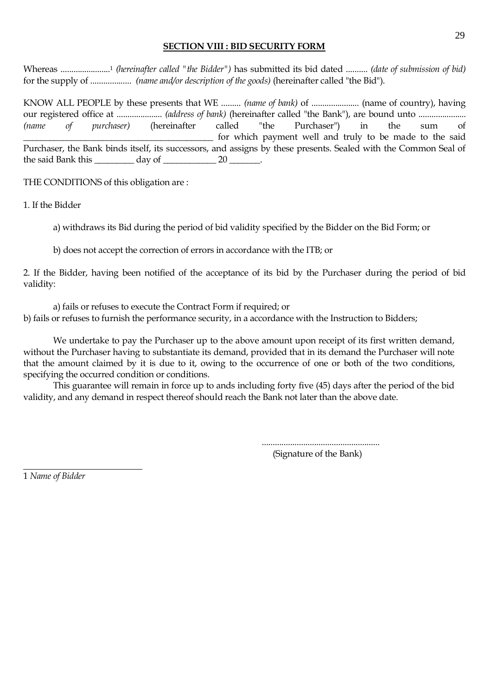#### **SECTION VIII : BID SECURITY FORM**

Whereas .......................<sup>1</sup> *(hereinafter called "the Bidder")* has submitted its bid dated .......... *(date of submission of bid)* for the supply of ................... *(name and/or description of the goods)* (hereinafter called "the Bid").

KNOW ALL PEOPLE by these presents that WE ......... *(name of bank)* of ...................... (name of country), having our registered office at ..................... *(address of bank)* (hereinafter called "the Bank"), are bound unto ...................... *(name of purchaser)* (hereinafter called "the Purchaser") in the sum of \_\_\_\_\_\_\_\_\_\_\_\_\_\_\_\_\_\_\_\_\_\_\_\_\_\_\_\_\_\_\_\_\_\_\_\_\_\_\_\_\_\_\_ for which payment well and truly to be made to the said Purchaser, the Bank binds itself, its successors, and assigns by these presents. Sealed with the Common Seal of the said Bank this  $\frac{1}{20}$  day of  $\frac{20}{20}$ .

THE CONDITIONS of this obligation are :

1. If the Bidder

a) withdraws its Bid during the period of bid validity specified by the Bidder on the Bid Form; or

b) does not accept the correction of errors in accordance with the ITB; or

2. If the Bidder, having been notified of the acceptance of its bid by the Purchaser during the period of bid validity:

a) fails or refuses to execute the Contract Form if required; or b) fails or refuses to furnish the performance security, in a accordance with the Instruction to Bidders;

We undertake to pay the Purchaser up to the above amount upon receipt of its first written demand, without the Purchaser having to substantiate its demand, provided that in its demand the Purchaser will note that the amount claimed by it is due to it, owing to the occurrence of one or both of the two conditions, specifying the occurred condition or conditions.

This guarantee will remain in force up to ands including forty five (45) days after the period of the bid validity, and any demand in respect thereof should reach the Bank not later than the above date.

> ...................................................... (Signature of the Bank)

1 *Name of Bidder*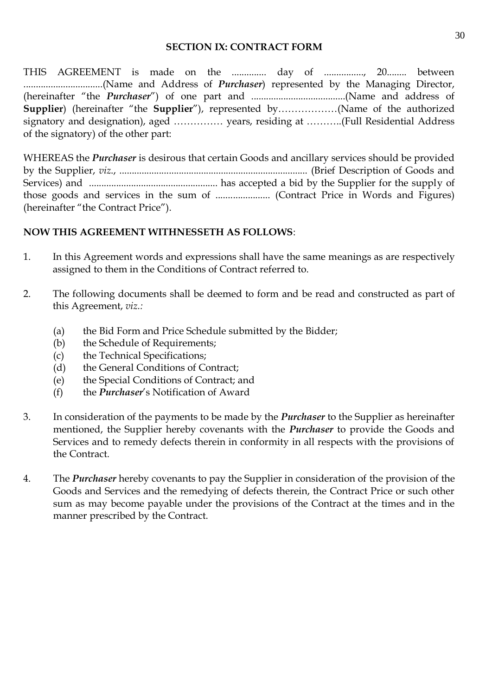#### **SECTION IX: CONTRACT FORM**

THIS AGREEMENT is made on the ................ day of .................., 20......... between ................................(Name and Address of *Purchaser*) represented by the Managing Director, (hereinafter "the *Purchaser*") of one part and ......................................(Name and address of **Supplier**) (hereinafter "the **Supplier**"), represented by………………(Name of the authorized signatory and designation), aged …………… years, residing at ………..(Full Residential Address of the signatory) of the other part:

WHEREAS the *Purchaser* is desirous that certain Goods and ancillary services should be provided by the Supplier, *viz*., ............................................................................ (Brief Description of Goods and Services) and .................................................... has accepted a bid by the Supplier for the supply of those goods and services in the sum of ...................... (Contract Price in Words and Figures) (hereinafter "the Contract Price").

#### **NOW THIS AGREEMENT WITHNESSETH AS FOLLOWS**:

- 1. In this Agreement words and expressions shall have the same meanings as are respectively assigned to them in the Conditions of Contract referred to.
- 2. The following documents shall be deemed to form and be read and constructed as part of this Agreement, *viz.:*
	- (a) the Bid Form and Price Schedule submitted by the Bidder;
	- (b) the Schedule of Requirements;
	- (c) the Technical Specifications;
	- (d) the General Conditions of Contract;
	- (e) the Special Conditions of Contract; and
	- (f) the *Purchaser*'s Notification of Award
- 3. In consideration of the payments to be made by the *Purchaser* to the Supplier as hereinafter mentioned, the Supplier hereby covenants with the *Purchaser* to provide the Goods and Services and to remedy defects therein in conformity in all respects with the provisions of the Contract.
- 4. The *Purchaser* hereby covenants to pay the Supplier in consideration of the provision of the Goods and Services and the remedying of defects therein, the Contract Price or such other sum as may become payable under the provisions of the Contract at the times and in the manner prescribed by the Contract.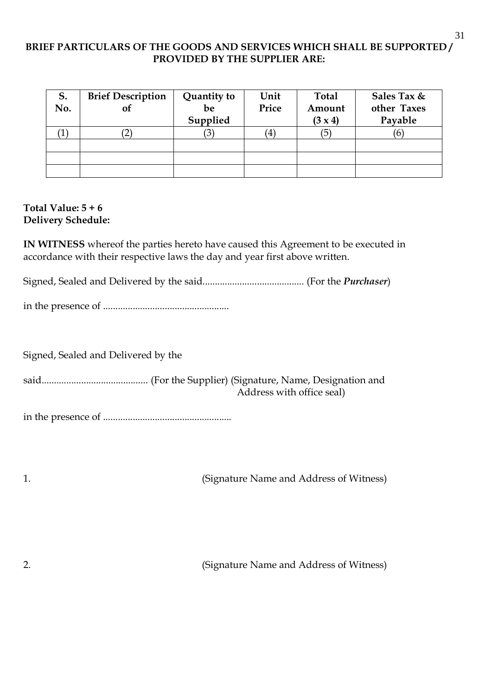### **BRIEF PARTICULARS OF THE GOODS AND SERVICES WHICH SHALL BE SUPPORTED / PROVIDED BY THE SUPPLIER ARE:**

| S.<br>No. | <b>Brief Description</b><br>of | Quantity to<br>be<br>Supplied | Unit<br>Price        | <b>Total</b><br>Amount<br>$(3 \times 4)$ | Sales Tax &<br>other Taxes<br>Payable |
|-----------|--------------------------------|-------------------------------|----------------------|------------------------------------------|---------------------------------------|
| T         |                                |                               | $\mathbf{4}^{\cdot}$ | (5                                       | ΙO                                    |
|           |                                |                               |                      |                                          |                                       |
|           |                                |                               |                      |                                          |                                       |
|           |                                |                               |                      |                                          |                                       |

#### **Total Value: 5 + 6 Delivery Schedule:**

**IN WITNESS** whereof the parties hereto have caused this Agreement to be executed in accordance with their respective laws the day and year first above written.

Signed, Sealed and Delivered by the said......................................... (For the *Purchaser*)

in the presence of ...................................................

Signed, Sealed and Delivered by the

said........................................... (For the Supplier) (Signature, Name, Designation and Address with office seal)

in the presence of ....................................................

1. (Signature Name and Address of Witness)

2. (Signature Name and Address of Witness)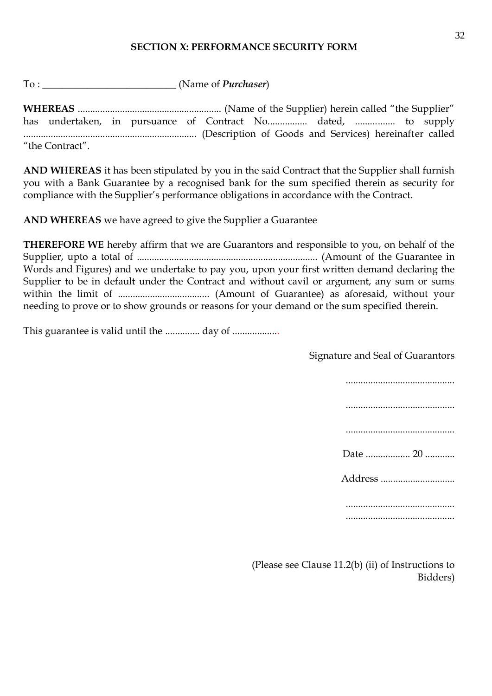#### **SECTION X: PERFORMANCE SECURITY FORM**

To : \_\_\_\_\_\_\_\_\_\_\_\_\_\_\_\_\_\_\_\_\_\_\_\_\_\_\_ (Name of *Purchaser*)

**WHEREAS** .......................................................... (Name of the Supplier) herein called "the Supplier" has undertaken, in pursuance of Contract No................ dated, ................ to supply ...................................................................... (Description of Goods and Services) hereinafter called "the Contract".

**AND WHEREAS** it has been stipulated by you in the said Contract that the Supplier shall furnish you with a Bank Guarantee by a recognised bank for the sum specified therein as security for compliance with the Supplier's performance obligations in accordance with the Contract.

**AND WHEREAS** we have agreed to give the Supplier a Guarantee

**THEREFORE WE** hereby affirm that we are Guarantors and responsible to you, on behalf of the Supplier, upto a total of ......................................................................... (Amount of the Guarantee in Words and Figures) and we undertake to pay you, upon your first written demand declaring the Supplier to be in default under the Contract and without cavil or argument, any sum or sums within the limit of ..................................... (Amount of Guarantee) as aforesaid, without your needing to prove or to show grounds or reasons for your demand or the sum specified therein.

This guarantee is valid until the ............... day of ...................

Signature and Seal of Guarantors

| Date  20 |
|----------|
| Address  |
|          |
|          |

(Please see Clause 11.2(b) (ii) of Instructions to Bidders)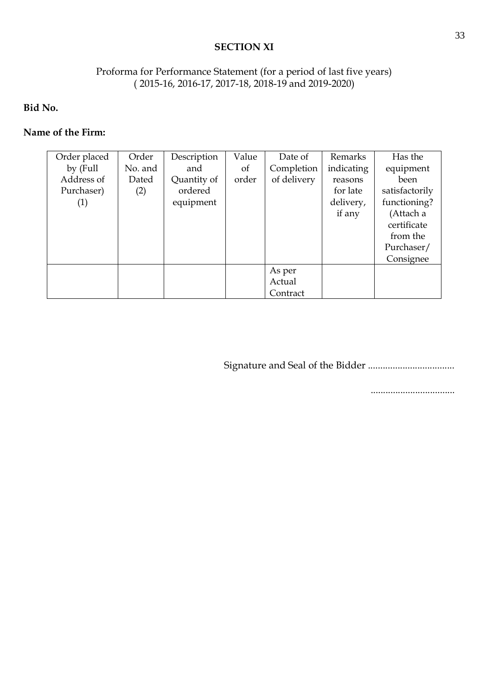#### **SECTION XI**

# Proforma for Performance Statement (for a period of last five years) ( 2015-16, 2016-17, 2017-18, 2018-19 and 2019-2020)

**Bid No.** 

#### **Name of the Firm:**

| Order placed | Order   | Description | Value         | Date of     | Remarks    | Has the        |
|--------------|---------|-------------|---------------|-------------|------------|----------------|
| by (Full     | No. and | and         | <sub>of</sub> | Completion  | indicating | equipment      |
| Address of   | Dated   | Quantity of | order         | of delivery | reasons    | been           |
| Purchaser)   | (2)     | ordered     |               |             | for late   | satisfactorily |
| (1)          |         | equipment   |               |             | delivery,  | functioning?   |
|              |         |             |               |             | if any     | (Attach a      |
|              |         |             |               |             |            | certificate    |
|              |         |             |               |             |            | from the       |
|              |         |             |               |             |            | Purchaser/     |
|              |         |             |               |             |            | Consignee      |
|              |         |             |               | As per      |            |                |
|              |         |             |               | Actual      |            |                |
|              |         |             |               | Contract    |            |                |

Signature and Seal of the Bidder ...................................

..................................